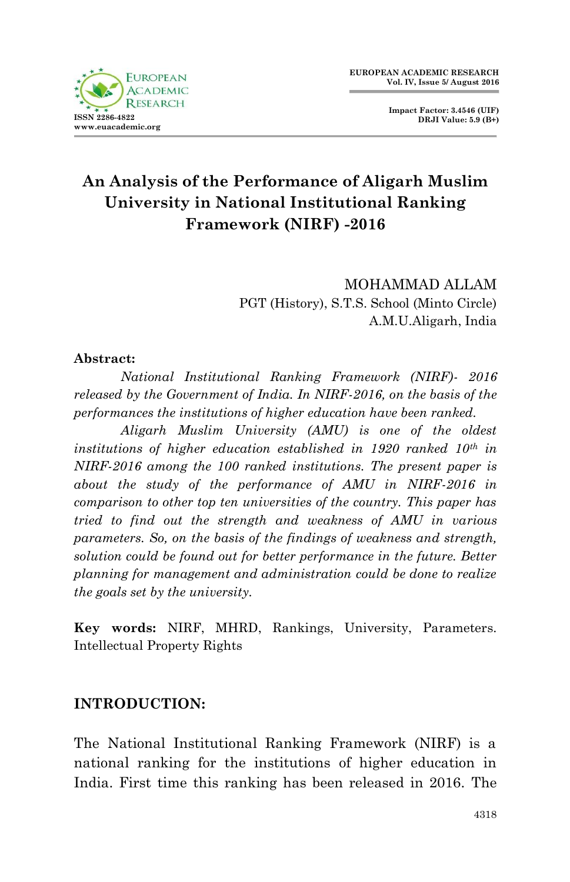

**Impact Factor: 3.4546 (UIF) DRJI Value: 5.9 (B+)**

# **An Analysis of the Performance of Aligarh Muslim University in National Institutional Ranking Framework (NIRF) -2016**

MOHAMMAD ALLAM PGT (History), S.T.S. School (Minto Circle) A.M.U.Aligarh, India

#### **Abstract:**

*National Institutional Ranking Framework (NIRF)- 2016 released by the Government of India. In NIRF-2016, on the basis of the performances the institutions of higher education have been ranked.*

*Aligarh Muslim University (AMU) is one of the oldest institutions of higher education established in 1920 ranked 10th in NIRF-2016 among the 100 ranked institutions. The present paper is about the study of the performance of AMU in NIRF-2016 in comparison to other top ten universities of the country. This paper has tried to find out the strength and weakness of AMU in various parameters. So, on the basis of the findings of weakness and strength, solution could be found out for better performance in the future. Better planning for management and administration could be done to realize the goals set by the university.*

**Key words:** NIRF, MHRD, Rankings, University, Parameters. Intellectual Property Rights

#### **INTRODUCTION:**

The National Institutional Ranking Framework (NIRF) is a national ranking for the institutions of higher education in India. First time this ranking has been released in 2016. The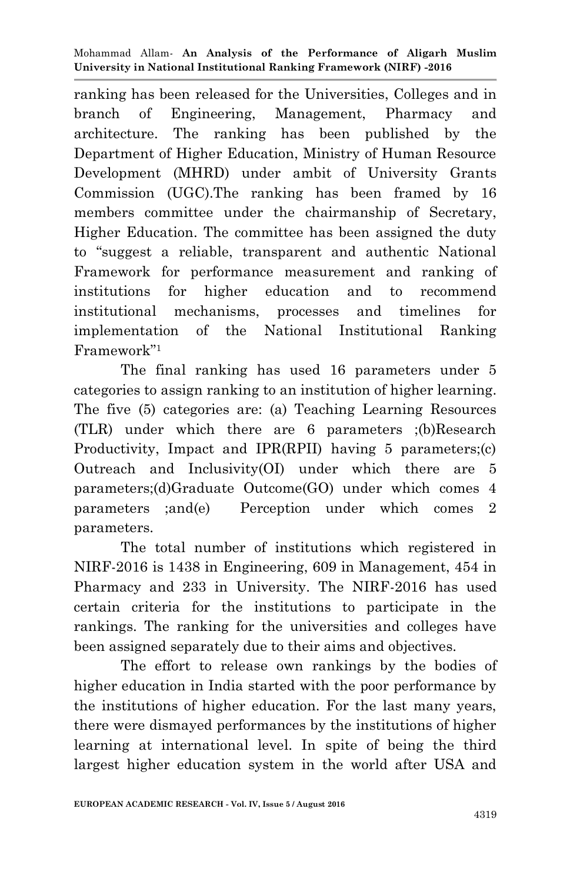ranking has been released for the Universities, Colleges and in branch of Engineering, Management, Pharmacy and architecture. The ranking has been published by the Department of Higher Education, Ministry of Human Resource Development (MHRD) under ambit of University Grants Commission (UGC).The ranking has been framed by 16 members committee under the chairmanship of Secretary, Higher Education. The committee has been assigned the duty to "suggest a reliable, transparent and authentic National Framework for performance measurement and ranking of institutions for higher education and to recommend institutional mechanisms, processes and timelines for implementation of the National Institutional Ranking Framework"<sup>1</sup>

The final ranking has used 16 parameters under 5 categories to assign ranking to an institution of higher learning. The five (5) categories are: (a) Teaching Learning Resources (TLR) under which there are 6 parameters ;(b)Research Productivity, Impact and IPR(RPII) having 5 parameters;(c) Outreach and Inclusivity(OI) under which there are 5 parameters;(d)Graduate Outcome(GO) under which comes 4 parameters ;and(e) Perception under which comes 2 parameters.

The total number of institutions which registered in NIRF-2016 is 1438 in Engineering, 609 in Management, 454 in Pharmacy and 233 in University. The NIRF-2016 has used certain criteria for the institutions to participate in the rankings. The ranking for the universities and colleges have been assigned separately due to their aims and objectives.

The effort to release own rankings by the bodies of higher education in India started with the poor performance by the institutions of higher education. For the last many years, there were dismayed performances by the institutions of higher learning at international level. In spite of being the third largest higher education system in the world after USA and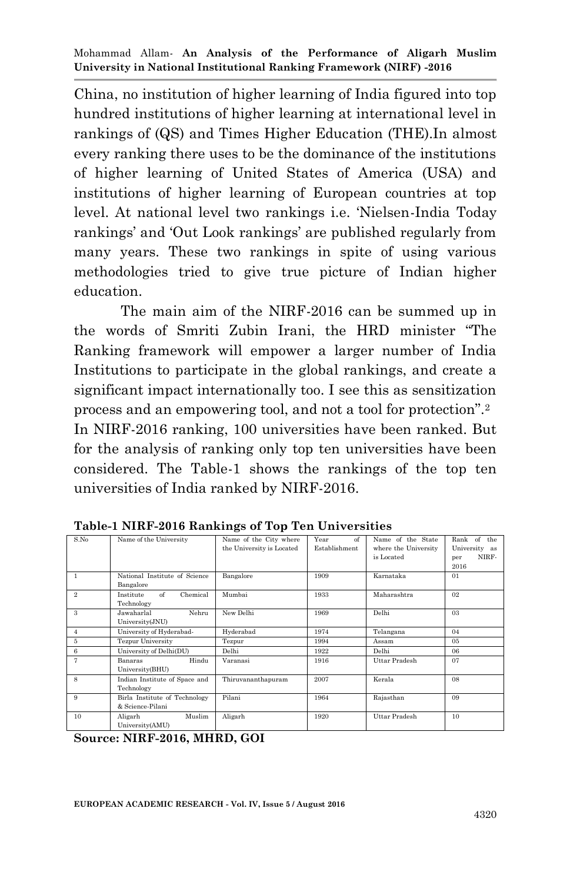China, no institution of higher learning of India figured into top hundred institutions of higher learning at international level in rankings of (QS) and Times Higher Education (THE).In almost every ranking there uses to be the dominance of the institutions of higher learning of United States of America (USA) and institutions of higher learning of European countries at top level. At national level two rankings i.e. "Nielsen-India Today rankings' and 'Out Look rankings' are published regularly from many years. These two rankings in spite of using various methodologies tried to give true picture of Indian higher education.

The main aim of the NIRF-2016 can be summed up in the words of Smriti Zubin Irani, the HRD minister "The Ranking framework will empower a larger number of India Institutions to participate in the global rankings, and create a significant impact internationally too. I see this as sensitization process and an empowering tool, and not a tool for protection".<sup>2</sup> In NIRF-2016 ranking, 100 universities have been ranked. But for the analysis of ranking only top ten universities have been considered. The Table-1 shows the rankings of the top ten universities of India ranked by NIRF-2016.

| S.No           | Name of the University                                                           | Name of the City where<br>the University is Located | $\alpha$ f<br>Year<br>Establishment | Name of the State<br>where the University<br>is Located | $\alpha$ f<br>the<br>Rank<br>University as<br>NIRF-<br>per<br>2016 |
|----------------|----------------------------------------------------------------------------------|-----------------------------------------------------|-------------------------------------|---------------------------------------------------------|--------------------------------------------------------------------|
| 1              | National Institute of Science<br>Bangalore                                       | Bangalore                                           | 1909                                | Karnataka                                               | 01                                                                 |
| $\overline{2}$ | $\alpha$ <sup><math>\uparrow</math></sup><br>Chemical<br>Institute<br>Technology | Mumbai                                              | 1933                                | Maharashtra                                             | 0 <sup>2</sup>                                                     |
| 3              | Nehru<br>Jawaharlal<br>University(JNU)                                           | New Delhi                                           | 1969                                | Delhi                                                   | 03                                                                 |
| $\overline{4}$ | University of Hyderabad-                                                         | Hyderabad                                           | 1974                                | Telangana                                               | 04                                                                 |
| 5              | <b>Tezpur University</b>                                                         | Tezpur                                              | 1994                                | Assam                                                   | 0.5                                                                |
| 6              | University of Delhi(DU)                                                          | Delhi                                               | 1922                                | Delhi                                                   | 06                                                                 |
| 7              | Hindu<br>Banaras<br>University(BHU)                                              | Varanasi                                            | 1916                                | Uttar Pradesh                                           | 07                                                                 |
| 8              | Indian Institute of Space and<br>Technology                                      | Thiruvananthapuram                                  | 2007                                | Kerala                                                  | 08                                                                 |
| 9              | Birla Institute of Technology<br>& Science-Pilani                                | Pilani                                              | 1964                                | Rajasthan                                               | 09                                                                 |
| 10             | Muslim<br>Aligarh<br>University(AMU)                                             | Aligarh                                             | 1920                                | Uttar Pradesh                                           | 10                                                                 |

**Table-1 NIRF-2016 Rankings of Top Ten Universities**

**Source: NIRF-2016, MHRD, GOI**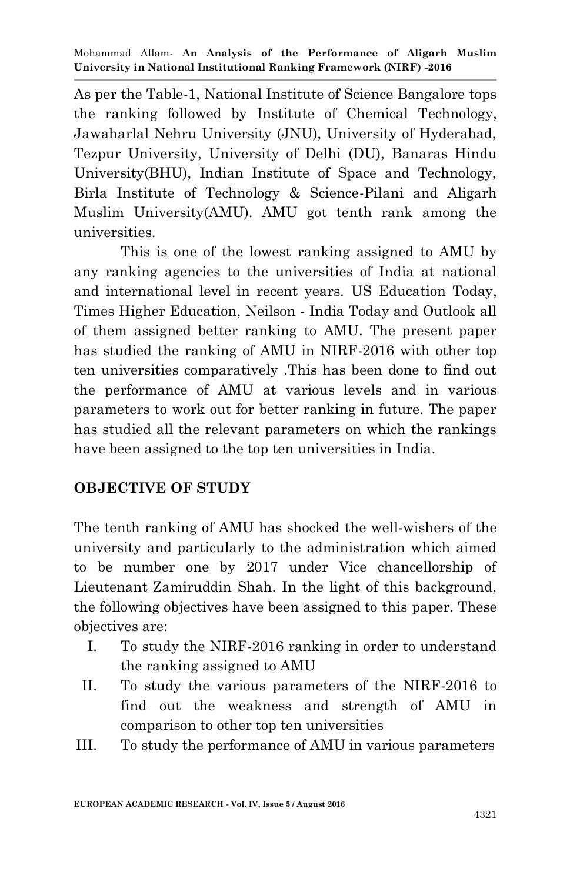As per the Table-1, National Institute of Science Bangalore tops the ranking followed by Institute of Chemical Technology, Jawaharlal Nehru University (JNU), University of Hyderabad, Tezpur University, University of Delhi (DU), Banaras Hindu University(BHU), Indian Institute of Space and Technology, Birla Institute of Technology & Science-Pilani and Aligarh Muslim University(AMU). AMU got tenth rank among the universities.

This is one of the lowest ranking assigned to AMU by any ranking agencies to the universities of India at national and international level in recent years. US Education Today, Times Higher Education, Neilson - India Today and Outlook all of them assigned better ranking to AMU. The present paper has studied the ranking of AMU in NIRF-2016 with other top ten universities comparatively .This has been done to find out the performance of AMU at various levels and in various parameters to work out for better ranking in future. The paper has studied all the relevant parameters on which the rankings have been assigned to the top ten universities in India.

### **OBJECTIVE OF STUDY**

The tenth ranking of AMU has shocked the well-wishers of the university and particularly to the administration which aimed to be number one by 2017 under Vice chancellorship of Lieutenant Zamiruddin Shah. In the light of this background, the following objectives have been assigned to this paper. These objectives are:

- I. To study the NIRF-2016 ranking in order to understand the ranking assigned to AMU
- II. To study the various parameters of the NIRF-2016 to find out the weakness and strength of AMU in comparison to other top ten universities
- III. To study the performance of AMU in various parameters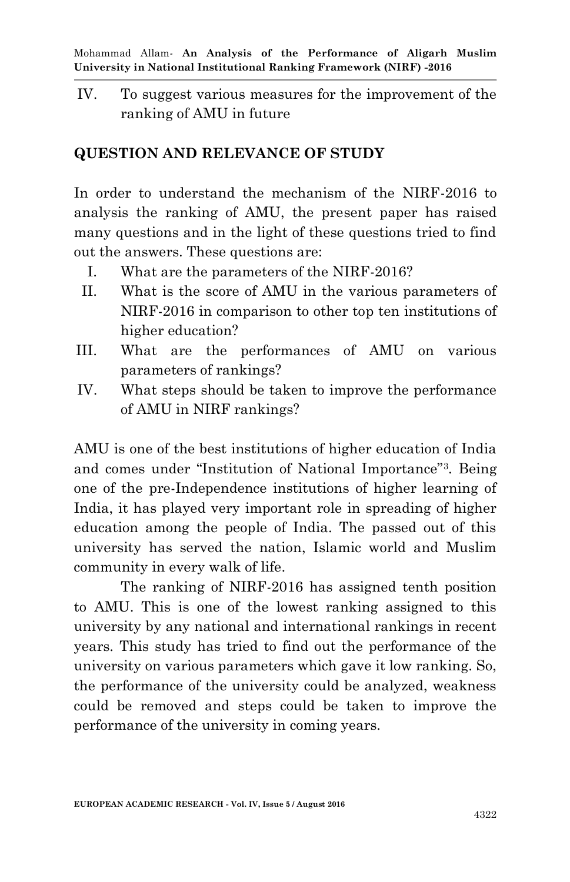IV. To suggest various measures for the improvement of the ranking of AMU in future

# **QUESTION AND RELEVANCE OF STUDY**

In order to understand the mechanism of the NIRF-2016 to analysis the ranking of AMU, the present paper has raised many questions and in the light of these questions tried to find out the answers. These questions are:

- I. What are the parameters of the NIRF-2016?
- II. What is the score of AMU in the various parameters of NIRF-2016 in comparison to other top ten institutions of higher education?
- III. What are the performances of AMU on various parameters of rankings?
- IV. What steps should be taken to improve the performance of AMU in NIRF rankings?

AMU is one of the best institutions of higher education of India and comes under "Institution of National Importance"<sup>3</sup> . Being one of the pre-Independence institutions of higher learning of India, it has played very important role in spreading of higher education among the people of India. The passed out of this university has served the nation, Islamic world and Muslim community in every walk of life.

The ranking of NIRF-2016 has assigned tenth position to AMU. This is one of the lowest ranking assigned to this university by any national and international rankings in recent years. This study has tried to find out the performance of the university on various parameters which gave it low ranking. So, the performance of the university could be analyzed, weakness could be removed and steps could be taken to improve the performance of the university in coming years.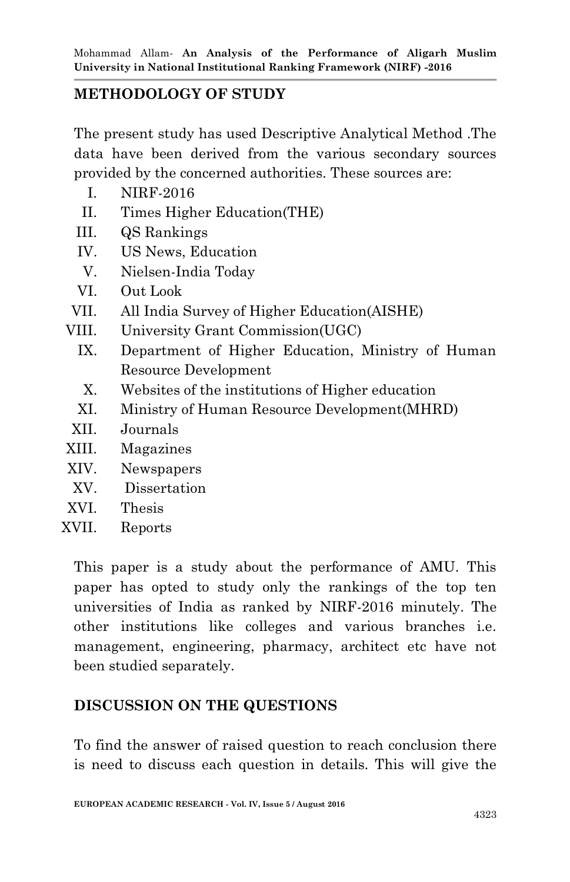### **METHODOLOGY OF STUDY**

The present study has used Descriptive Analytical Method .The data have been derived from the various secondary sources provided by the concerned authorities. These sources are:

- I. NIRF-2016
- II. Times Higher Education(THE)
- III. QS Rankings
- IV. US News, Education
- V. Nielsen-India Today
- VI. Out Look
- VII. All India Survey of Higher Education(AISHE)
- VIII. University Grant Commission(UGC)
	- IX. Department of Higher Education, Ministry of Human Resource Development
	- X. Websites of the institutions of Higher education
	- XI. Ministry of Human Resource Development(MHRD)
- XII. Journals
- XIII. Magazines
- XIV. Newspapers
- XV. Dissertation
- XVI. Thesis
- XVII. Reports

This paper is a study about the performance of AMU. This paper has opted to study only the rankings of the top ten universities of India as ranked by NIRF-2016 minutely. The other institutions like colleges and various branches i.e. management, engineering, pharmacy, architect etc have not been studied separately.

## **DISCUSSION ON THE QUESTIONS**

To find the answer of raised question to reach conclusion there is need to discuss each question in details. This will give the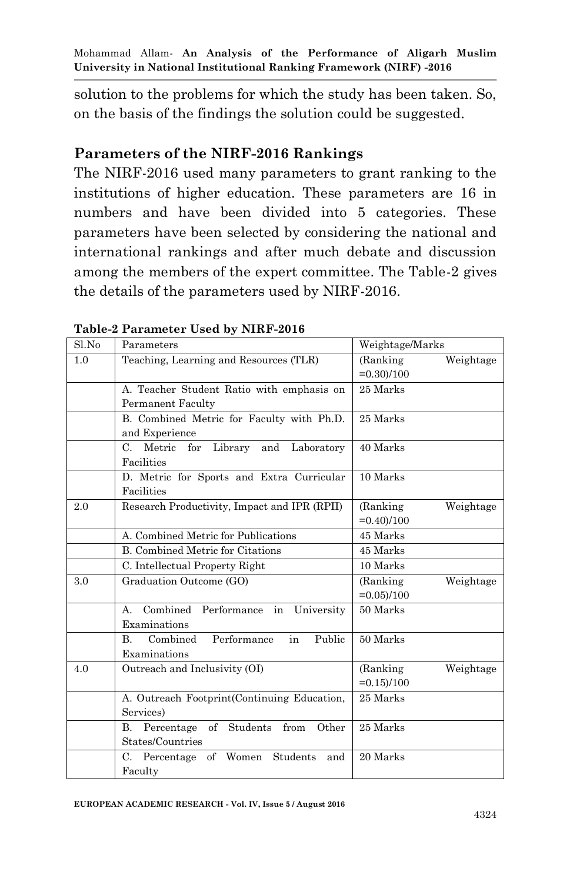solution to the problems for which the study has been taken. So, on the basis of the findings the solution could be suggested.

#### **Parameters of the NIRF-2016 Rankings**

The NIRF-2016 used many parameters to grant ranking to the institutions of higher education. These parameters are 16 in numbers and have been divided into 5 categories. These parameters have been selected by considering the national and international rankings and after much debate and discussion among the members of the expert committee. The Table-2 gives the details of the parameters used by NIRF-2016.

| Sl.No | Parameters                                          | Weightage/Marks        |
|-------|-----------------------------------------------------|------------------------|
| 1.0   | Teaching, Learning and Resources (TLR)              | (Ranking)<br>Weightage |
|       |                                                     | $= 0.30/100$           |
|       | A. Teacher Student Ratio with emphasis on           | 25 Marks               |
|       | <b>Permanent Faculty</b>                            |                        |
|       | B. Combined Metric for Faculty with Ph.D.           | 25 Marks               |
|       | and Experience                                      |                        |
|       | Metric<br>Library<br>Laboratory<br>C.<br>for<br>and | 40 Marks               |
|       | Facilities                                          |                        |
|       | D. Metric for Sports and Extra Curricular           | 10 Marks               |
|       | Facilities                                          |                        |
| 2.0   | Research Productivity, Impact and IPR (RPII)        | Weightage<br>(Ranking) |
|       |                                                     | $=0.40$ $/100$         |
|       | A. Combined Metric for Publications                 | 45 Marks               |
|       | <b>B.</b> Combined Metric for Citations             | 45 Marks               |
|       | C. Intellectual Property Right                      | 10 Marks               |
| 3.0   | Graduation Outcome (GO)                             | (Ranking)<br>Weightage |
|       |                                                     | $=0.05/100$            |
|       | Combined Performance in<br>University<br>$A_{n}$    | 50 Marks               |
|       | Examinations                                        |                        |
|       | Combined<br>Performance<br>in<br>Public<br>B.       | 50 Marks               |
|       | Examinations                                        |                        |
| 4.0   | Outreach and Inclusivity (OI)                       | (Ranking)<br>Weightage |
|       |                                                     | $=0.15/100$            |
|       | A. Outreach Footprint (Continuing Education,        | 25 Marks               |
|       | Services)                                           |                        |
|       | of Students<br>Percentage<br>Other<br>В.<br>from    | 25 Marks               |
|       | States/Countries                                    |                        |
|       | C. Percentage of Women Students<br>and              | 20 Marks               |
|       | Faculty                                             |                        |

#### **Table-2 Parameter Used by NIRF-2016**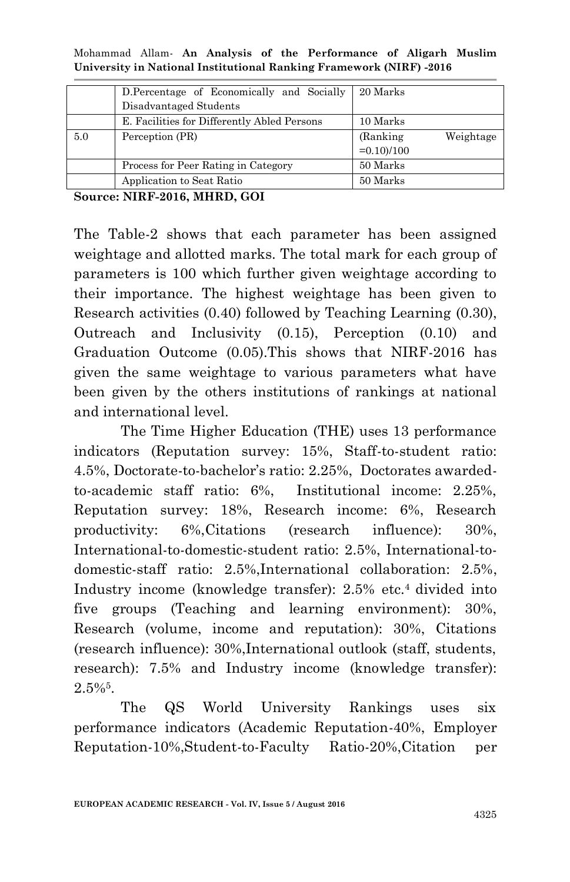|  |  |  | Mohammad Allam- An Analysis of the Performance of Aligarh Muslim    |  |  |
|--|--|--|---------------------------------------------------------------------|--|--|
|  |  |  | University in National Institutional Ranking Framework (NIRF) -2016 |  |  |

|     | D.Percentage of Economically and Socially   | 20 Marks               |
|-----|---------------------------------------------|------------------------|
|     | Disadvantaged Students                      |                        |
|     | E. Facilities for Differently Abled Persons | 10 Marks               |
| 5.0 | Perception (PR)                             | (Ranking)<br>Weightage |
|     |                                             | $=0.10/100$            |
|     | Process for Peer Rating in Category         | 50 Marks               |
|     | Application to Seat Ratio                   | 50 Marks               |

The Table-2 shows that each parameter has been assigned weightage and allotted marks. The total mark for each group of parameters is 100 which further given weightage according to their importance. The highest weightage has been given to Research activities (0.40) followed by Teaching Learning (0.30), Outreach and Inclusivity (0.15), Perception (0.10) and Graduation Outcome (0.05).This shows that NIRF-2016 has given the same weightage to various parameters what have been given by the others institutions of rankings at national and international level.

The Time Higher Education (THE) uses 13 performance indicators (Reputation survey: 15%, Staff-to-student ratio: 4.5%, Doctorate-to-bachelor"s ratio: 2.25%, Doctorates awardedto-academic staff ratio: 6%, Institutional income: 2.25%, Reputation survey: 18%, Research income: 6%, Research productivity: 6%,Citations (research influence): 30%, International-to-domestic-student ratio: 2.5%, International-todomestic-staff ratio: 2.5%,International collaboration: 2.5%, Industry income (knowledge transfer): 2.5% etc.4 divided into five groups (Teaching and learning environment): 30%, Research (volume, income and reputation): 30%, Citations (research influence): 30%,International outlook (staff, students, research): 7.5% and Industry income (knowledge transfer):  $2.5\%$ <sup>5</sup>.

The QS World University Rankings uses six performance indicators (Academic Reputation-40%, Employer Reputation-10%,Student-to-Faculty Ratio-20%,Citation per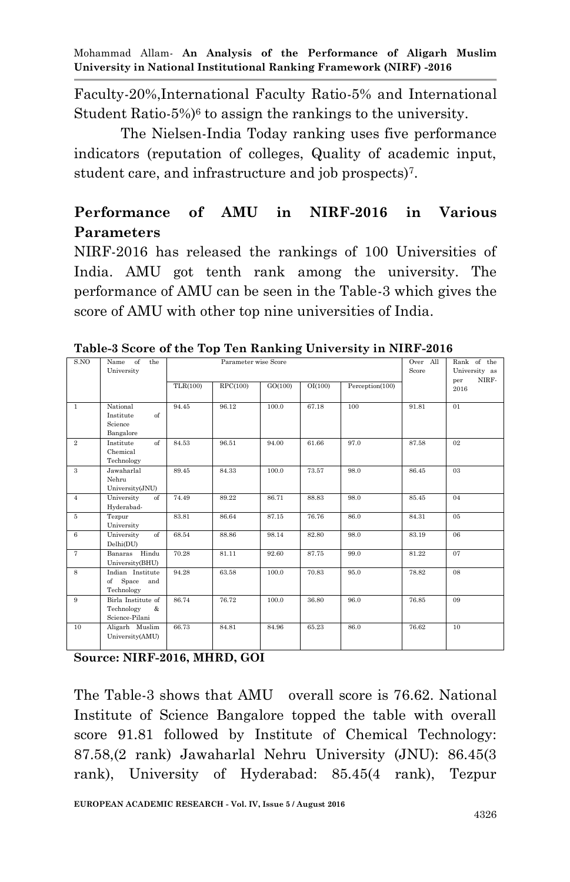Faculty-20%,International Faculty Ratio-5% and International Student Ratio-5%)<sup>6</sup> to assign the rankings to the university.

The Nielsen-India Today ranking uses five performance indicators (reputation of colleges, Quality of academic input, student care, and infrastructure and job prospects)<sup>7</sup> .

# **Performance of AMU in NIRF-2016 in Various Parameters**

NIRF-2016 has released the rankings of 100 Universities of India. AMU got tenth rank among the university. The performance of AMU can be seen in the Table-3 which gives the score of AMU with other top nine universities of India.

| S.NO           | of<br>the<br>Name<br>University                         |          | Parameter wise Score |         | Over All<br>Score | Rank of the<br>University as |       |                      |
|----------------|---------------------------------------------------------|----------|----------------------|---------|-------------------|------------------------------|-------|----------------------|
|                |                                                         | TLR(100) | RPC(100)             | GO(100) | OI(100)           | Perception(100)              |       | NIRF-<br>per<br>2016 |
| $\mathbf{1}$   | National<br>Institute<br>of<br>Science<br>Bangalore     | 94.45    | 96.12                | 100.0   | 67.18             | 100                          | 91.81 | 01                   |
| $\overline{2}$ | Institute<br>$\sigma$<br>Chemical<br>Technology         | 84.53    | 96.51                | 94.00   | 61.66             | 97.0                         | 87.58 | 02                   |
| 3              | Jawaharlal<br>Nehru<br>University(JNU)                  | 89.45    | 84.33                | 100.0   | 73.57             | 98.0                         | 86.45 | 03                   |
| $\overline{4}$ | University<br>$\sigma$<br>Hyderabad-                    | 74.49    | 89.22                | 86.71   | 88.83             | 98.0                         | 85.45 | 04                   |
| $5\,$          | Tezpur<br>University                                    | 83.81    | 86.64                | 87.15   | 76.76             | 86.0                         | 84.31 | $05\,$               |
| 6              | University<br>of<br>Delhi(DU)                           | 68.54    | 88.86                | 98.14   | 82.80             | 98.0                         | 83.19 | 06                   |
| $\overline{7}$ | Banaras Hindu<br>University(BHU)                        | 70.28    | 81.11                | 92.60   | 87.75             | 99.0                         | 81.22 | 07                   |
| 8              | Indian Institute<br>of Space<br>and<br>Technology       | 94.28    | 63.58                | 100.0   | 70.83             | 95.0                         | 78.82 | 08                   |
| 9              | Birla Institute of<br>Technology<br>&<br>Science-Pilani | 86.74    | 76.72                | 100.0   | 36.80             | 96.0                         | 76.85 | 09                   |
| 10             | Aligarh Muslim<br>University(AMU)                       | 66.73    | 84.81                | 84.96   | 65.23             | 86.0                         | 76.62 | 10                   |

**Table-3 Score of the Top Ten Ranking University in NIRF-2016**

**Source: NIRF-2016, MHRD, GOI**

The Table-3 shows that AMU overall score is 76.62. National Institute of Science Bangalore topped the table with overall score 91.81 followed by Institute of Chemical Technology: 87.58,(2 rank) Jawaharlal Nehru University (JNU): 86.45(3 rank), University of Hyderabad: 85.45(4 rank), Tezpur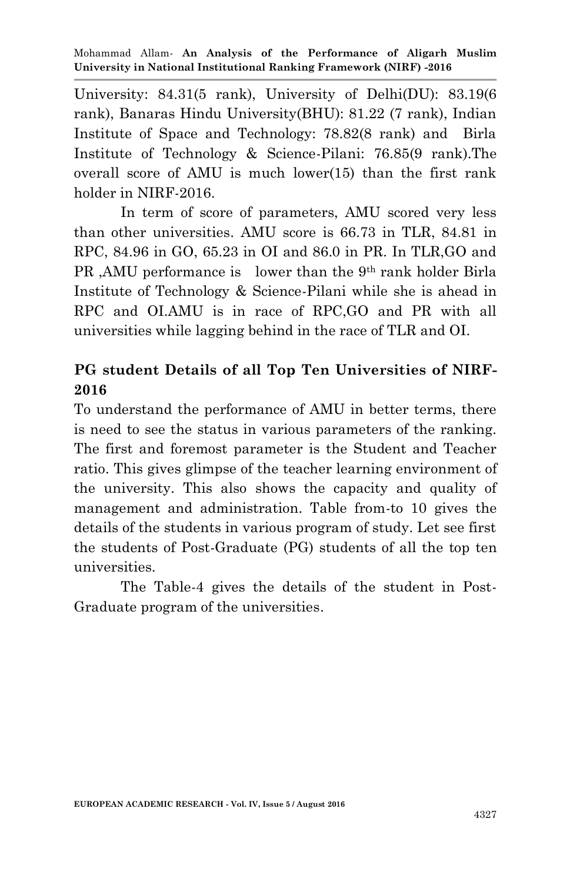University: 84.31(5 rank), University of Delhi(DU): 83.19(6 rank), Banaras Hindu University(BHU): 81.22 (7 rank), Indian Institute of Space and Technology: 78.82(8 rank) and Birla Institute of Technology & Science-Pilani: 76.85(9 rank).The overall score of AMU is much lower(15) than the first rank holder in NIRF-2016.

In term of score of parameters, AMU scored very less than other universities. AMU score is 66.73 in TLR, 84.81 in RPC, 84.96 in GO, 65.23 in OI and 86.0 in PR. In TLR,GO and PR ,AMU performance is lower than the 9th rank holder Birla Institute of Technology & Science-Pilani while she is ahead in RPC and OI.AMU is in race of RPC,GO and PR with all universities while lagging behind in the race of TLR and OI.

# **PG student Details of all Top Ten Universities of NIRF-2016**

To understand the performance of AMU in better terms, there is need to see the status in various parameters of the ranking. The first and foremost parameter is the Student and Teacher ratio. This gives glimpse of the teacher learning environment of the university. This also shows the capacity and quality of management and administration. Table from-to 10 gives the details of the students in various program of study. Let see first the students of Post-Graduate (PG) students of all the top ten universities.

The Table-4 gives the details of the student in Post-Graduate program of the universities.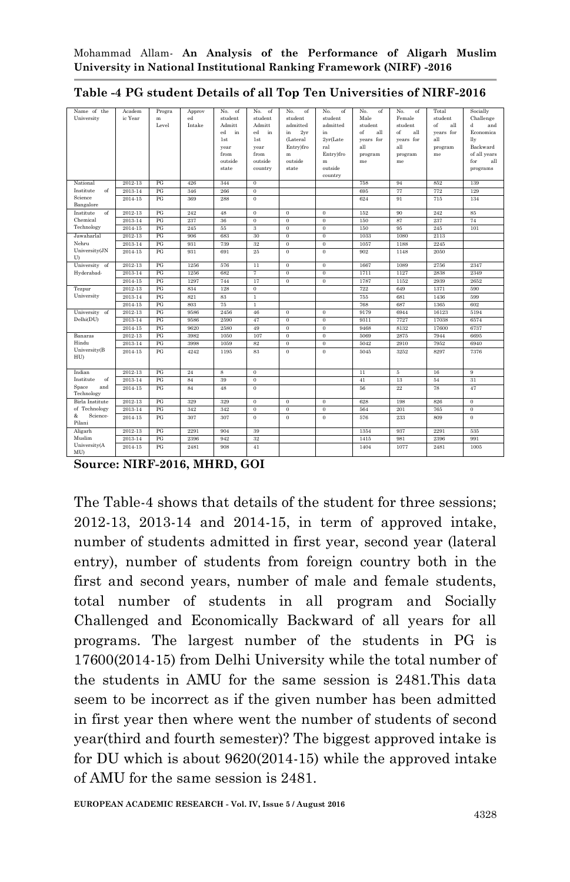| Name of the                | Academ  | Progra | Approv | No.<br>of               | No.<br>of       | No.<br>of      | No.<br>of          | No.<br>of | No.<br>of | Total     | Socially            |
|----------------------------|---------|--------|--------|-------------------------|-----------------|----------------|--------------------|-----------|-----------|-----------|---------------------|
| University                 | ic Year | m      | ed     | student                 | student         | student        | student            | Male      | Female    | student   | Challenge           |
|                            |         | Level  | Intake | Admitt                  | Admitt          | admitted       | admitted           | student   | student   | of<br>all | H<br>and            |
|                            |         |        |        | ed<br>in                | ed<br>in        | 2yr<br>in      | in                 | of<br>all | of<br>all | years for | Economica           |
|                            |         |        |        | 1st                     | 1st             | (Lateral       | 2yr(Late           | years for | years for | all       | lly                 |
|                            |         |        |        | year                    | year            | Entry)fro      | ral                | all       | all       | program   | Backward            |
|                            |         |        |        | from                    | from            | m<br>outside   | Entry)fro          | program   | program   | me        | of all years<br>for |
|                            |         |        |        | outside<br>state        | outside         | state          | m                  | me        | me        |           | all                 |
|                            |         |        |        |                         | country         |                | outside<br>country |           |           |           | programs            |
| National                   | 2012-13 | PG     | 426    | 344                     | $\bf{0}$        |                |                    | 758       | 94        | 852       | 139                 |
| Institute<br>of            | 2013-14 | PG     | 346    | 266                     | $\bf{0}$        |                |                    | 695       | 77        | 772       | 129                 |
| Science                    | 2014-15 | PG     | 369    | 288                     | $\mathbf{0}$    |                |                    | 624       | 91        | 715       | 134                 |
| Bangalore                  |         |        |        |                         |                 |                |                    |           |           |           |                     |
| Institute<br>of            | 2012-13 | PG     | 242    | 48                      | $\bf{0}$        | $\bf{0}$       | $\mathbf{0}$       | 152       | 90        | 242       | 85                  |
| Chemical                   | 2013-14 | PG     | 237    | 36                      | $\bf{0}$        | $\mathbf{0}$   | $\bf{0}$           | 150       | 87        | 237       | 74                  |
| Technology                 | 2014-15 | PG     | 245    | 55                      | 3               | $\bf{0}$       | $\overline{0}$     | 150       | 95        | 245       | 101                 |
| Jawaharlal                 | 2012-13 | PG     | 906    | 683                     | 30              | $\bf{0}$       | $\bf{0}$           | 1033      | 1080      | 2113      |                     |
| Nehru                      | 2013-14 | PG     | 931    | 739                     | 32              | $\mathbf{0}$   | $\bf{0}$           | 1057      | 1188      | 2245      |                     |
| University(JN<br>U)        | 2014-15 | PG     | 931    | 691                     | 25              | $\bf{0}$       | $\bf{0}$           | 902       | 1148      | 2050      |                     |
| University of              | 2012-13 | PG     | 1256   | 576                     | $\overline{11}$ | $\overline{0}$ | $\overline{0}$     | 1667      | 1089      | 2756      | 2347                |
| Hyderabad-                 | 2013-14 | PG     | 1256   | 682                     | 7               | $\overline{0}$ | $\overline{0}$     | 1711      | 1127      | 2838      | 2349                |
|                            | 2014-15 | PG     | 1297   | 744                     | 17              | $\overline{0}$ | $\overline{0}$     | 1787      | 1152      | 2939      | 2652                |
| Tezpur                     | 2012-13 | PG     | 834    | 128                     | $\bf{0}$        |                |                    | 722       | 649       | 1371      | 590                 |
| University                 | 2013-14 | PG     | 821    | 83                      | $\mathbf{1}$    |                |                    | 755       | 681       | 1436      | 599                 |
|                            | 2014-15 | PG     | 803    | 75                      | $\mathbf{1}$    |                |                    | 768       | 687       | 1365      | 602                 |
| University of              | 2012-13 | PG     | 9586   | 2456                    | 46              | $\bf{0}$       | $\mathbf{0}$       | 9179      | 6944      | 16123     | 5194                |
| Delhi(DU)                  | 2013-14 | PG     | 9586   | 2590                    | 47              | $\mathbf{0}$   | $\bf{0}$           | 9311      | 7727      | 17038     | 6574                |
|                            | 2014-15 | PG     | 9620   | 2580                    | 49              | $\bf{0}$       | $\bf{0}$           | 9468      | 8132      | 17600     | 6737                |
| Banaras                    | 2012-13 | PG     | 3982   | 1050                    | 107             | $\bf{0}$       | $\bf{0}$           | 5069      | 2875      | 7944      | 6695                |
| Hindu                      | 2013-14 | PG     | 3998   | 1059                    | 82              | $\mathbf{0}$   | $\bf{0}$           | 5042      | 2910      | 7952      | 6940                |
| University(B<br>HU)        | 2014-15 | PG     | 4242   | 1195                    | 83              | $\bf{0}$       | $\bf{0}$           | 5045      | 3252      | 8297      | 7376                |
| Indian                     | 2012-13 | PG     | 24     | $\overline{\mathbf{s}}$ | $\theta$        |                |                    | 11        | 5         | 16        | 9                   |
| of<br>Institute            | 2013-14 | PG     | 84     | 39                      | $\overline{0}$  |                |                    | 41        | 13        | 54        | 31                  |
| and<br>Space<br>Technology | 2014-15 | PG     | 84     | 48                      | $\bf{0}$        |                |                    | 56        | 22        | 78        | 47                  |
| <b>Birla</b> Institute     | 2012-13 | PG     | 329    | 329                     | $\overline{0}$  | $\overline{0}$ | $\overline{0}$     | 628       | 198       | 826       | $\overline{0}$      |
| of Technology              | 2013-14 | PG     | 342    | 342                     | $\overline{0}$  | $\overline{0}$ | $\overline{0}$     | 564       | 201       | 765       | $\overline{0}$      |
| Science-<br>&<br>Pilani    | 2014-15 | PG     | 307    | 307                     | $\bf{0}$        | $\mathbf{0}$   | $\mathbf{0}$       | 576       | 233       | 809       | $\theta$            |
| Aligarh                    | 2012-13 | PG     | 2291   | 904                     | 39              |                |                    | 1354      | 937       | 2291      | 535                 |
| Muslim                     | 2013-14 | PG     | 2396   | 942                     | 32              |                |                    | 1415      | 981       | 2396      | 991                 |
| University(A<br>MU)        | 2014-15 | PG     | 2481   | 908                     | 41              |                |                    | 1404      | 1077      | 2481      | 1005                |

| Table -4 PG student Details of all Top Ten Universities of NIRF-2016 |  |  |  |  |  |  |  |  |
|----------------------------------------------------------------------|--|--|--|--|--|--|--|--|
|----------------------------------------------------------------------|--|--|--|--|--|--|--|--|

The Table-4 shows that details of the student for three sessions; 2012-13, 2013-14 and 2014-15, in term of approved intake, number of students admitted in first year, second year (lateral entry), number of students from foreign country both in the first and second years, number of male and female students, total number of students in all program and Socially Challenged and Economically Backward of all years for all programs. The largest number of the students in PG is 17600(2014-15) from Delhi University while the total number of the students in AMU for the same session is 2481.This data seem to be incorrect as if the given number has been admitted in first year then where went the number of students of second year(third and fourth semester)? The biggest approved intake is for DU which is about 9620(2014-15) while the approved intake of AMU for the same session is 2481.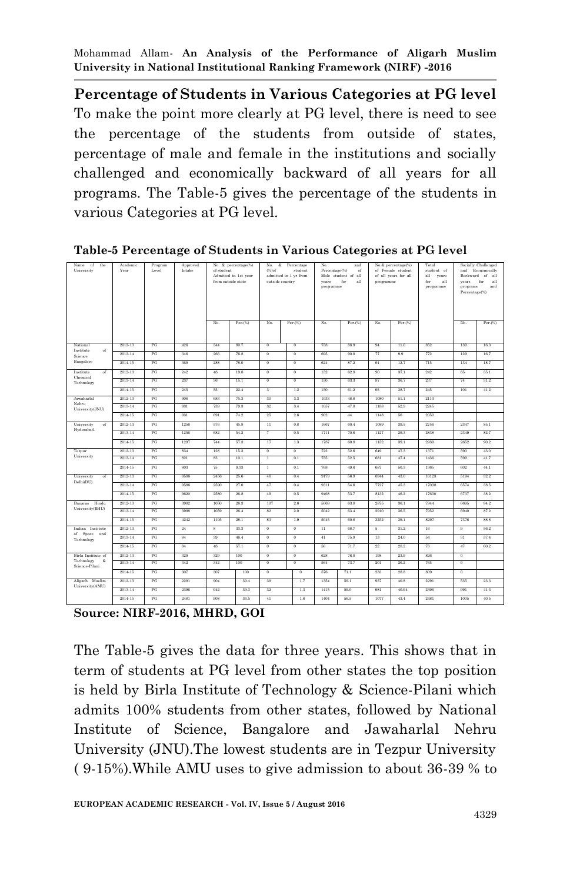**Percentage of Students in Various Categories at PG level** To make the point more clearly at PG level, there is need to see the percentage of the students from outside of states, percentage of male and female in the institutions and socially challenged and economically backward of all years for all programs. The Table-5 gives the percentage of the students in various Categories at PG level.

| Name<br>the<br>of<br>University        | Academic<br>Year | Program<br>Level | Approved<br>Intake | of student | No. & percentage(%)<br>Admitted in 1st year<br>from outside state | No.<br>&<br>Percentage<br>No.<br>and<br>(%) of<br>student<br>Percentage(%)<br>of<br>admitted in 1 yr from<br>Male student of all<br>all<br>outside country<br>for<br>years<br>programme |                | programme       | No.& percentage(%)<br>of Female student<br>of all years for all | Total<br>student of<br>all<br>vears<br>for<br>all<br>programme | years<br>programs<br>Percentage(%) | Socially Challenged<br>and Economically<br>Backward of all<br>for<br>all<br>and |                |         |
|----------------------------------------|------------------|------------------|--------------------|------------|-------------------------------------------------------------------|-----------------------------------------------------------------------------------------------------------------------------------------------------------------------------------------|----------------|-----------------|-----------------------------------------------------------------|----------------------------------------------------------------|------------------------------------|---------------------------------------------------------------------------------|----------------|---------|
|                                        |                  |                  |                    | No.        | $Per.$ (%)                                                        | No.                                                                                                                                                                                     | Per.(%)        | No.             | Per.(%)                                                         | No.                                                            | Per.(%)                            |                                                                                 | No.            | Per.(%) |
| National                               | 2012-13          | PG               | 426                | 344        | 80.7                                                              | $\overline{0}$                                                                                                                                                                          | $\overline{0}$ | 758             | 88.9                                                            | 94                                                             | 11.0                               | 852                                                                             | 139            | 16.3    |
| Institute<br>of<br>Science             | 2013-14          | PG               | 346                | 266        | 76.8                                                              | $\overline{0}$                                                                                                                                                                          | $\overline{0}$ | 695             | 90.0                                                            | 77                                                             | 9.9                                | 772                                                                             | 129            | 16.7    |
| Bangalore                              | 2014-15          | PG               | 369                | 288        | 78.0                                                              | $\overline{0}$                                                                                                                                                                          | $\overline{0}$ | 624             | 87.2                                                            | 91                                                             | 12.7                               | 715                                                                             | 134            | 18.7    |
| Institute<br>of                        | 2012-13          | PG               | 242                | 48         | 19.8                                                              | $\overline{0}$                                                                                                                                                                          | $\overline{0}$ | 152             | 62.8                                                            | 90                                                             | 37.1                               | 242                                                                             | 85             | 35.1    |
| Chemical<br>Technology                 | 2013-14          | PG               | 237                | 36         | 15.1                                                              | $\overline{0}$                                                                                                                                                                          | $\overline{0}$ | 150             | 63.3                                                            | 87                                                             | 36.7                               | 237                                                                             | 74             | 31.2    |
|                                        | 2014-15          | PG               | 245                | 55         | 22.4                                                              | 3                                                                                                                                                                                       | 1.2            | 150             | 61.2                                                            | 95                                                             | 38.7                               | 245                                                                             | 101            | 41.2    |
| Jawaharlal                             | 2012-13          | PG               | 906                | 683        | 75.3                                                              | 30                                                                                                                                                                                      | 3.3            | 1033            | 48.8                                                            | 1080                                                           | 51.1                               | 2113                                                                            |                |         |
| Nehru<br>University(JNU)               | 2013-14          | PG               | 931                | 739        | 79.3                                                              | 32                                                                                                                                                                                      | 3.4            | 1057            | 47.0                                                            | 1188                                                           | 52.9                               | 2245                                                                            |                |         |
|                                        | 2014-15          | PG               | 931                | 691        | 74.2                                                              | 25                                                                                                                                                                                      | 2.6            | 902             | 44                                                              | 1148                                                           | 56                                 | 2050                                                                            |                |         |
| University<br>of                       | 2012-13          | PG               | 1256               | 576        | 45.8                                                              | $\overline{11}$                                                                                                                                                                         | 0.8            | 1667            | 60.4                                                            | 1089                                                           | 39.5                               | 2756                                                                            | 2347           | 85.1    |
| Hyderabad-                             | 2013-14          | PG               | 1256               | 682        | 54.2                                                              | $\tau$                                                                                                                                                                                  | 0.5            | 1711            | 70.6                                                            | 1127                                                           | 29.3                               | 2838                                                                            | 2349           | 82.7    |
|                                        | 2014-15          | PG               | 1297               | 744        | 57.3                                                              | 17                                                                                                                                                                                      | 1.3            | 1787            | 60.8                                                            | 1152                                                           | 39.1                               | 2939                                                                            | 2652           | 90.2    |
| Tezpur                                 | 2012-13          | PG               | 834                | 128        | 15.3                                                              | $\theta$                                                                                                                                                                                | 0              | 722             | 52.6                                                            | 649                                                            | 47.3                               | 1371                                                                            | 590            | 43.0    |
| University                             | 2013-14          | PG               | 821                | 83         | 10.1                                                              | T                                                                                                                                                                                       | 0.1            | 755             | 52.5                                                            | 681                                                            | 47.4                               | 1436                                                                            | 599            | 41.7    |
|                                        | 2014-15          | PG               | 803                | 75         | 9.33                                                              | 1                                                                                                                                                                                       | 0.1            | 768             | 49.6                                                            | 687                                                            | 50.3                               | 1365                                                                            | 602            | 44.1    |
| University<br>of<br>Delhi(DU)          | 2012-13          | PG               | 9586               | 2456       | 25.6                                                              | 46                                                                                                                                                                                      | 0.4            | 9179            | 56.9                                                            | 6944                                                           | 43.0                               | 16123                                                                           | 5194           | 32.2    |
|                                        | 2013-14          | PG               | 9586               | 2590       | 27.0                                                              | 47                                                                                                                                                                                      | 0.4            | 9311            | 54.6                                                            | 7727                                                           | 45.3                               | 17038                                                                           | 6574           | 38.5    |
|                                        | 2014-15          | PG               | 9620               | 2580       | 26.8                                                              | 49                                                                                                                                                                                      | 0.5            | 9468            | 53.7                                                            | 8132                                                           | 46.2                               | 17600                                                                           | 6737           | 38.2    |
| Banaras Hindu<br>University(BHU)       | 2012-13          | PG               | 3982               | 1050       | 26.3                                                              | 107                                                                                                                                                                                     | 2.6            | 5069            | 63.8                                                            | 2875                                                           | 36.1                               | 7944                                                                            | 6695           | 84.2    |
|                                        | 2013-14          | PG               | 3998               | 1059       | 26.4                                                              | 82                                                                                                                                                                                      | 2.0            | 5042            | 63.4                                                            | 2910                                                           | 36.5                               | 7952                                                                            | 6940           | 87.2    |
|                                        | 2014-15          | PG               | 4242               | 1195       | 28.1                                                              | 83                                                                                                                                                                                      | 1.9            | 5045            | 60.8                                                            | 3252                                                           | 39.1                               | 8297                                                                            | 7376           | 88.8    |
| Indian Institute<br>of Space and       | 2012-13          | PG               | $^{24}$            | s          | 33.3                                                              | $\overline{0}$                                                                                                                                                                          | $\overline{0}$ | $\overline{11}$ | 68.7                                                            | 5                                                              | 31.2                               | 16                                                                              | $\overline{9}$ | 56.2    |
| Technology                             | 2013-14          | PG               | $^{\rm 84}$        | 39         | 46.4                                                              | $_{\rm 0}$                                                                                                                                                                              | $\,$ 0         | 41              | 75.9                                                            | $13\,$                                                         | 24.0                               | 54                                                                              | 31             | 57.4    |
|                                        | 2014-15          | PG               | 84                 | 48         | 57.1                                                              | $\theta$                                                                                                                                                                                | $\mathbf{0}$   | 56              | 71.7                                                            | 22                                                             | 28.2                               | 78                                                                              | 47             | 60.2    |
| Birla Institute of<br>Technology<br>-& | 2012-13          | PG               | 329                | 329        | 100                                                               | $\overline{0}$                                                                                                                                                                          | $\overline{0}$ | 628             | 76.0                                                            | 198                                                            | 23.9                               | 826                                                                             | $\overline{0}$ |         |
| Science-Pilani                         | 2013-14          | PG               | 342                | 342        | 100                                                               | $\overline{0}$                                                                                                                                                                          | $\overline{0}$ | 564             | 73.7                                                            | 201                                                            | 26.2                               | 765                                                                             | $\overline{0}$ |         |
|                                        | 2014-15          | PG               | 307                | 307        | 100                                                               | $\overline{0}$                                                                                                                                                                          | $\overline{0}$ | 576             | 71.1                                                            | 233                                                            | 28.8                               | 809                                                                             | $\overline{0}$ |         |
| Aligarh Muslim<br>University(AMU)      | 2012-13          | PG               | 2291               | 904        | 39.4                                                              | 39                                                                                                                                                                                      | 1.7            | 1354            | 59.1                                                            | 937                                                            | 40.8                               | 2291                                                                            | 535            | 23.3    |
|                                        | 2013-14          | PG               | 2396               | 942        | 39.3                                                              | 32                                                                                                                                                                                      | 1.3            | 1415            | 59.0                                                            | 981                                                            | 40.94                              | 2396                                                                            | 991            | 41.3    |
|                                        | 2014-15          | PG               | 2481               | 908        | 36.5                                                              | 41                                                                                                                                                                                      | 1.6            | 1404            | 56.5                                                            | 1077                                                           | 43.4                               | 2481                                                                            | 1005           | 40.5    |

**Table-5 Percentage of Students in Various Categories at PG level**

**Source: NIRF-2016, MHRD, GOI**

The Table-5 gives the data for three years. This shows that in term of students at PG level from other states the top position is held by Birla Institute of Technology & Science-Pilani which admits 100% students from other states, followed by National Institute of Science, Bangalore and Jawaharlal Nehru University (JNU).The lowest students are in Tezpur University ( 9-15%).While AMU uses to give admission to about 36-39 % to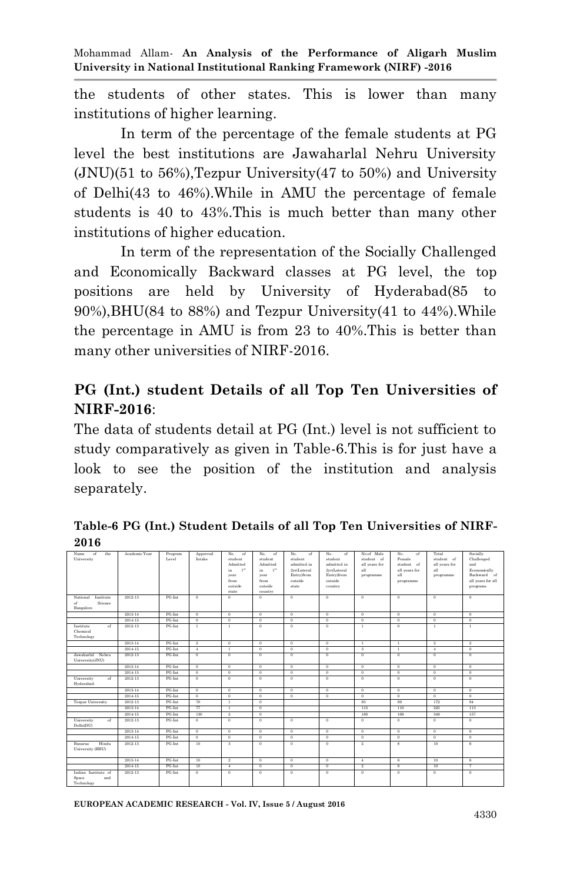the students of other states. This is lower than many institutions of higher learning.

In term of the percentage of the female students at PG level the best institutions are Jawaharlal Nehru University (JNU)(51 to 56%),Tezpur University(47 to 50%) and University of Delhi(43 to 46%).While in AMU the percentage of female students is 40 to 43%.This is much better than many other institutions of higher education.

In term of the representation of the Socially Challenged and Economically Backward classes at PG level, the top positions are held by University of Hyderabad(85 to 90%),BHU(84 to 88%) and Tezpur University(41 to 44%).While the percentage in AMU is from 23 to 40%.This is better than many other universities of NIRF-2016.

# **PG (Int.) student Details of all Top Ten Universities of NIRF-2016**:

The data of students detail at PG (Int.) level is not sufficient to study comparatively as given in Table-6.This is for just have a look to see the position of the institution and analysis separately.

| ---                                  |               |         |                |                         |                        |                  |                |                |                         |                |                   |
|--------------------------------------|---------------|---------|----------------|-------------------------|------------------------|------------------|----------------|----------------|-------------------------|----------------|-------------------|
| Name<br>of<br>the                    | Academic Year | Program | Approved       | No.<br>of               | No.<br>of              | No.<br>of        | No.<br>of      | No.of Male     | No.<br>of               | Total          | Socially          |
| University                           |               | Level   | Intake         | student                 | student                | student          | student        | student of     | Female                  | student of     | Challenged        |
|                                      |               |         |                | Admitted                | Admitted               | admitted in      | admitted in    | all years for  | student of              | all years for  | and               |
|                                      |               |         |                | 1 <sup>st</sup><br>in   | in.<br>1 <sup>st</sup> | 2yr(Lateral      | 2yr(Lateral    | all            | all years for           | all            | Economically      |
|                                      |               |         |                | vear                    | year                   | Entry)from       | Entry)from     | programme      | all                     | programme      | Backward of       |
|                                      |               |         |                | from<br>outside         | from<br>outside        | outside<br>state | outside        |                | programme               |                | all years for all |
|                                      |               |         |                | state                   | country                |                  | country        |                |                         |                | programs          |
| National<br>Institute                | 2012-13       | PG-Int  | $\mathbf{0}$   | $\Omega$                | $\theta$               | $\mathbf{0}$     | $\theta$       | $\theta$       | $\theta$                | $\theta$       | $\theta$          |
| Science<br>of                        |               |         |                |                         |                        |                  |                |                |                         |                |                   |
| Bangalore                            |               |         |                |                         |                        |                  |                |                |                         |                |                   |
|                                      | 2013-14       | PG-Int  | $\overline{0}$ | $\overline{0}$          | $\overline{0}$         | $\overline{0}$   | $\overline{0}$ | $\overline{0}$ | $\overline{0}$          | $\overline{0}$ | $\overline{0}$    |
|                                      | 2014-15       | PG-Int  | $\mathbf{0}$   | $\theta$                | $\theta$               | $\Omega$         | $\Omega$       | $\theta$       | $\theta$                | $\mathbf{0}$   | $\theta$          |
| Institute<br>of                      | 2012-13       | PG-Int  | $\mathbf{1}$   | $\mathbf{1}$            | $\theta$               | $\mathbf{0}$     | $\theta$       | $\mathbf{1}$   | $\theta$                | $\mathbf{1}$   | $\mathbf{1}$      |
| Chemical                             |               |         |                |                         |                        |                  |                |                |                         |                |                   |
| Technology                           |               |         |                |                         |                        |                  |                |                |                         |                |                   |
|                                      | 2013-14       | PG-Int  | $\overline{2}$ | $\theta$                | $\overline{0}$         | $\theta$         | $\theta$       | $\overline{1}$ | $\mathbf{1}$            | $\overline{2}$ | $\overline{2}$    |
|                                      | 2014-15       | PG-Int  | $\overline{4}$ | $\mathbf{1}$            | $\theta$               | $\mathbf{0}$     | $\theta$       | $\mathbf{3}$   | $\mathbf{1}$            | $\Lambda$      | $\theta$          |
| Jawaharlal Nehru<br>University(JNU)  | 2012-13       | PG-Int  | $\overline{0}$ | $\overline{0}$          | $\overline{0}$         | $\overline{0}$   | $\overline{0}$ | $\overline{0}$ | $\overline{0}$          | $\overline{0}$ | $\overline{0}$    |
|                                      | 2013-14       | PG-Int  | $\overline{0}$ | $\overline{0}$          | $\overline{0}$         | $\overline{0}$   | $\overline{0}$ | $\overline{0}$ | $\overline{0}$          | $\overline{0}$ | $\overline{0}$    |
|                                      | 2014-15       | PG-Int  | $\overline{0}$ | $\overline{0}$          | $\overline{0}$         | $\overline{0}$   | $\overline{0}$ | $\overline{0}$ | $\overline{0}$          | $\overline{0}$ | $\overline{0}$    |
| University<br>of<br>Hyderabad-       | 2012-13       | PG-Int  | $\mathbf{0}$   | $\theta$                | $\theta$               | $\mathbf{0}$     | $\theta$       | $\theta$       | $\theta$                | $\Omega$       | $\theta$          |
|                                      | 2013-14       | PG-Int  | $\overline{0}$ | $\theta$                | $\overline{0}$         | $\overline{0}$   | $\overline{0}$ | $\overline{0}$ | $\overline{0}$          | $\overline{0}$ | $\overline{0}$    |
|                                      | 2014-15       | PG-Int  | $\mathbf{0}$   | $\theta$                | $\theta$               | $\mathbf{0}$     | $\theta$       | $\theta$       | $\theta$                | $\theta$       | $\theta$          |
| <b>Tezpur University</b>             | 2012-13       | PG-Int  | 70             | $\mathbf{1}$            | $\overline{0}$         |                  |                | 83             | 89                      | 172            | 84                |
|                                      | 2013-14       | PG-Int  | 77             | $\mathbf{1}$            | $\overline{0}$         |                  |                | 115            | 110                     | 225            | 113               |
|                                      | 2014-15       | PG-Int  | 130            | $\overline{2}$          | $\theta$               |                  |                | 180            | 169                     | 349            | 157               |
| University<br>of<br>Delhi(DU)        | 2012-13       | PG-Int  | $\overline{0}$ | $\overline{0}$          | $\overline{0}$         | $\overline{0}$   | $\overline{0}$ | $\overline{0}$ | $\overline{0}$          | $\overline{0}$ | $\overline{0}$    |
|                                      | 2013-14       | PG-Int  | $\theta$       | $\theta$                | $\theta$               | $\theta$         | $\theta$       | $\theta$       | $\theta$                | $\theta$       | $\theta$          |
|                                      | 2014-15       | PG-Int  | $\mathbf{0}$   | $\theta$                | $\theta$               | $\mathbf{0}$     | $\theta$       | $\theta$       | $\theta$                | $\mathbf{0}$   | $\theta$          |
| Hindu<br>Banaras<br>University (BHU) | 2012-13       | PG-Int  | 10             | $\overline{\mathbf{3}}$ | $\overline{0}$         | $\theta$         | $\overline{0}$ | $\overline{2}$ | $\overline{\mathbf{s}}$ | 10             | $\overline{6}$    |
|                                      | 2013-14       | PG-Int  | 10             | $\overline{2}$          | $\overline{0}$         | $\theta$         | $\theta$       | $\overline{4}$ | 6                       | 10             | 6                 |
|                                      | 2014-15       | PG-Int  | 10             | $\overline{4}$          | $\overline{0}$         | $\overline{0}$   | $\overline{0}$ | $\overline{2}$ | $\overline{\mathbf{s}}$ | 10             | 7                 |
| Indian Institute of                  | 2012-13       | PG-Int  | $\overline{0}$ | $\overline{0}$          | $\overline{0}$         | $\overline{0}$   | $\overline{0}$ | $\overline{0}$ | $\overline{0}$          | $\overline{0}$ | $\overline{0}$    |
| Space<br>and<br>Technology           |               |         |                |                         |                        |                  |                |                |                         |                |                   |

**Table-6 PG (Int.) Student Details of all Top Ten Universities of NIRF-2016**

**EUROPEAN ACADEMIC RESEARCH - Vol. IV, Issue 5 / August 2016**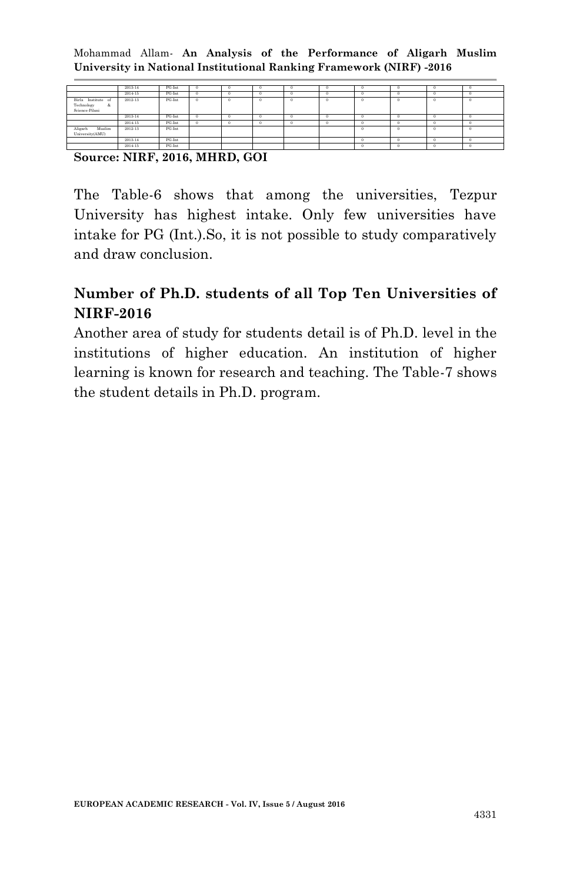|                                                         | 2013-14 | PG-Int | n | $\Omega$ |   | ٠ |               |          |     |
|---------------------------------------------------------|---------|--------|---|----------|---|---|---------------|----------|-----|
|                                                         | 2014-15 | PG-Int |   | $\Omega$ | £ | Ð |               | o        |     |
| Birla Institute of<br>Technology<br>&<br>Science-Pilani | 2012-13 | PG-Int |   | $\Omega$ |   | n |               | n        |     |
|                                                         | 2013-14 | PG-Int | o | $\Omega$ |   | o |               |          |     |
|                                                         | 2014-15 | PG-Int |   | $\Omega$ |   | л |               |          |     |
| Aligarh<br>Muslim<br>University(AMU)                    | 2012-13 | PG-Int |   |          |   |   | $\rightarrow$ | $\Omega$ | -13 |
|                                                         | 2013-14 | PG-Int |   |          |   |   |               |          |     |
|                                                         | 2014-15 | PG-Int |   |          |   |   |               |          |     |

**Source: NIRF, 2016, MHRD, GOI**

The Table-6 shows that among the universities, Tezpur University has highest intake. Only few universities have intake for PG (Int.).So, it is not possible to study comparatively and draw conclusion.

# **Number of Ph.D. students of all Top Ten Universities of NIRF-2016**

Another area of study for students detail is of Ph.D. level in the institutions of higher education. An institution of higher learning is known for research and teaching. The Table-7 shows the student details in Ph.D. program.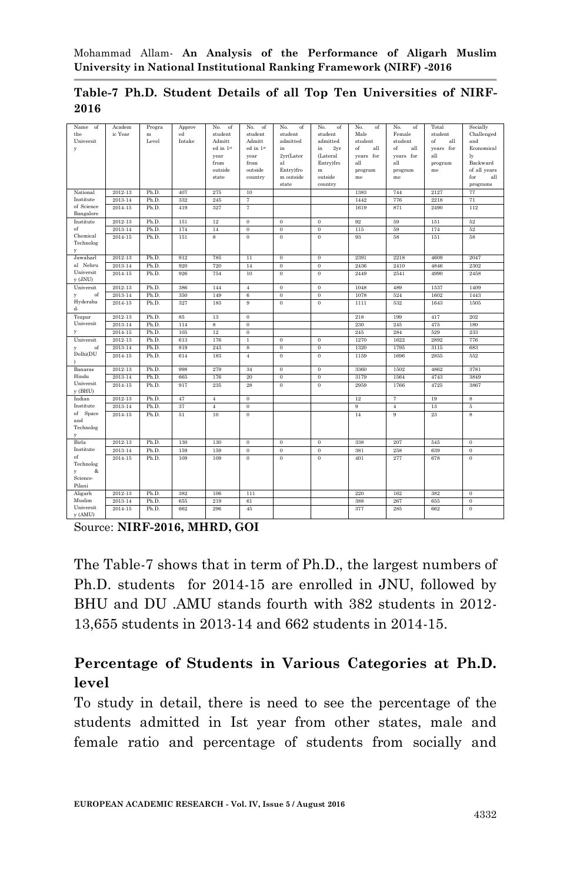| Name<br>of           | Academ      | Progra | Approv | No.<br>of        | No.<br>of        | No.<br>of        | No.<br>of        | No.<br>of | No.<br>of        | Total     | Socially         |
|----------------------|-------------|--------|--------|------------------|------------------|------------------|------------------|-----------|------------------|-----------|------------------|
| the                  | ic Year     | m      | ed     | student          | student          | student          | student          | Male      | Female           | student   | Challenged       |
| Universit            |             | Level  | Intake | Admitt           | Admitt           | admitted         | admitted         | student   | student          | of<br>all | and              |
| y                    |             |        |        | ed in 1st        | ed in 1st        | in               | 2yr<br>in        | of<br>all | of<br>all        | years for | Economical       |
|                      |             |        |        | year             | year             | 2yr(Later        | (Lateral         | years for | years for        | all       | ly               |
|                      |             |        |        | from             | from             | al               | Entry)fro        | all       | all              | program   | Backward         |
|                      |             |        |        | outside          | outside          | Entry)fro        | m                | program   | program          | me        | of all years     |
|                      |             |        |        | state            | country          | m outside        | outside          | me        | me               |           | for<br>all       |
|                      |             |        |        |                  |                  | state            | country          |           |                  |           | programs         |
| National             | 2012-13     | Ph.D.  | 407    | 275              | 10               |                  |                  | 1383      | 744              | 2127      | 77               |
| Institute            | 2013-14     | Ph.D.  | 332    | 245              | $\overline{7}$   |                  |                  | 1442      | 776              | 2218      | 71               |
| of Science           | 2014-15     | Ph.D.  | 419    | 327              | $\overline{7}$   |                  |                  | 1619      | 871              | 2490      | 112              |
| Bangalore            |             |        |        |                  |                  |                  |                  |           |                  |           |                  |
| Institute            | 2012-13     | Ph.D.  | 151    | 12               | $\mathbf{0}$     | $\theta$         | $\theta$         | 92        | 59               | 151       | 52               |
| of                   | 2013-14     | Ph.D.  | 174    | 14               | $\overline{0}$   | $\theta$         | $\theta$         | 115       | 59               | 174       | 52               |
| Chemical             | $2014 - 15$ | Ph.D.  | 151    | 8                | $\mathbf{0}$     | $\boldsymbol{0}$ | $\theta$         | 93        | 58               | 151       | 58               |
| Technolog            |             |        |        |                  |                  |                  |                  |           |                  |           |                  |
| y                    |             |        |        |                  |                  |                  |                  |           |                  |           |                  |
| Jawaharl<br>al Nehru | 2012-13     | Ph.D.  | 912    | 785              | 11               | $\theta$         | $\theta$         | 2391      | 2218             | 4609      | 2047             |
| Universit            | 2013-14     | Ph.D.  | 920    | 720              | 14               | $\boldsymbol{0}$ | $\boldsymbol{0}$ | 2436      | 2410             | 4846      | 2302             |
| $y$ (JNU)            | 2014-15     | Ph.D.  | 926    | 754              | 10               | $\theta$         | $\theta$         | 2449      | 2541             | 4990      | 2458             |
| Universit            | 2012-13     | Ph.D.  | 386    | 144              | $\bf{4}$         | $\mathbf{0}$     | $\mathbf{0}$     | 1048      | 489              | 1537      | 1409             |
| of<br>y              | 2013-14     | Ph.D.  | 350    | 149              | $\bf{6}$         | $\mathbf{0}$     | $\theta$         | 1078      | 524              | 1602      | 1443             |
| Hyderaba             | $2014 - 15$ | Ph.D.  | 327    | 183              | 9                | $\mathbf{0}$     | $\theta$         | 1111      | 532              | 1643      | 1505             |
| d-                   |             |        |        |                  |                  |                  |                  |           |                  |           |                  |
| Tezpur               | 2012-13     | Ph.D.  | 85     | 13               | $\mathbf{0}$     |                  |                  | 218       | 199              | 417       | 202              |
| Universit            | 2013-14     | Ph.D.  | 114    | $\boldsymbol{s}$ | $\,0\,$          |                  |                  | 230       | 245              | 475       | 180              |
| y                    | 2014-15     | Ph.D.  | 105    | 12               | $\mathbf{0}$     |                  |                  | 245       | 284              | 529       | 233              |
| Universit            | 2012-13     | Ph.D.  | 613    | 176              | $\,1$            | $\boldsymbol{0}$ | $\boldsymbol{0}$ | 1270      | 1622             | 2892      | 776              |
| of<br>y              | 2013-14     | Ph.D.  | 819    | 243              | 8                | $\theta$         | $\theta$         | 1320      | 1795             | 3115      | 683              |
| Delhi(DU             | $2014 - 15$ | Ph.D.  | 614    | 183              | $\overline{4}$   | $\theta$         | $\theta$         | 1159      | 1696             | 2855      | 552              |
|                      |             |        |        |                  |                  |                  |                  |           |                  |           |                  |
| Banaras              | 2012-13     | Ph.D.  | 998    | 279              | 34               | $\overline{0}$   | $\overline{0}$   | 3360      | 1502             | 4862      | 3781             |
| Hindu                | 2013-14     | Ph.D.  | 665    | 176              | 20               | $\bf{0}$         | $\overline{0}$   | 3179      | 1564             | 4743      | 3849             |
| Universit            | 2014-15     | Ph.D.  | 917    | 235              | 28               | $\overline{0}$   | $\overline{0}$   | 2959      | 1766             | 4725      | 3867             |
| y (BHU)              |             |        |        |                  |                  |                  |                  |           |                  |           |                  |
| Indian               | 2012-13     | Ph.D.  | 47     | $\overline{4}$   | $\overline{0}$   |                  |                  | 12        | 7                | 19        | 8                |
| Institute            | 2013-14     | Ph.D.  | 37     | $\overline{4}$   | $\overline{0}$   |                  |                  | 9         | $\boldsymbol{4}$ | 13        | 5                |
| of Space             | $2014 - 15$ | Ph.D.  | 51     | 10               | $\mathbf{0}$     |                  |                  | 14        | 9                | 23        | 8                |
| and                  |             |        |        |                  |                  |                  |                  |           |                  |           |                  |
| Technolog            |             |        |        |                  |                  |                  |                  |           |                  |           |                  |
| y                    |             |        |        |                  |                  |                  |                  |           |                  |           |                  |
| Birla                | 2012-13     | Ph.D.  | 130    | 130              | $\boldsymbol{0}$ | $\theta$         | $\boldsymbol{0}$ | 338       | 207              | 545       | $\bf{0}$         |
| Institute            | 2013-14     | Ph.D.  | 159    | 159              | $\boldsymbol{0}$ | $\boldsymbol{0}$ | $\boldsymbol{0}$ | 381       | 258              | 639       | $\boldsymbol{0}$ |
| of                   | 2014-15     | Ph.D.  | 109    | 109              | $\overline{0}$   | $\theta$         | $\overline{0}$   | 401       | 277              | 678       | $\bf{0}$         |
| Technolog            |             |        |        |                  |                  |                  |                  |           |                  |           |                  |
| &<br>y               |             |        |        |                  |                  |                  |                  |           |                  |           |                  |
| Science-             |             |        |        |                  |                  |                  |                  |           |                  |           |                  |
| Pilani               |             |        |        |                  |                  |                  |                  |           |                  |           |                  |
| Aligarh              | 2012-13     | Ph.D.  | 382    | 106              | 111              |                  |                  | 220       | 162              | 382       | $\,0\,$          |
| Muslim               | 2013-14     | Ph.D.  | 655    | 219              | 61               |                  |                  | 388       | 267              | 655       | $\bf{0}$         |
| Universit            | 2014-15     | Ph.D.  | 662    | 296              | 45               |                  |                  | 377       | 285              | 662       | $\bf{0}$         |
| y (AMU)              |             |        |        |                  |                  |                  |                  |           |                  |           |                  |

#### **Table-7 Ph.D. Student Details of all Top Ten Universities of NIRF-2016**

Source: **NIRF-2016, MHRD, GOI**

The Table-7 shows that in term of Ph.D., the largest numbers of Ph.D. students for 2014-15 are enrolled in JNU, followed by BHU and DU .AMU stands fourth with 382 students in 2012- 13,655 students in 2013-14 and 662 students in 2014-15.

# **Percentage of Students in Various Categories at Ph.D. level**

To study in detail, there is need to see the percentage of the students admitted in Ist year from other states, male and female ratio and percentage of students from socially and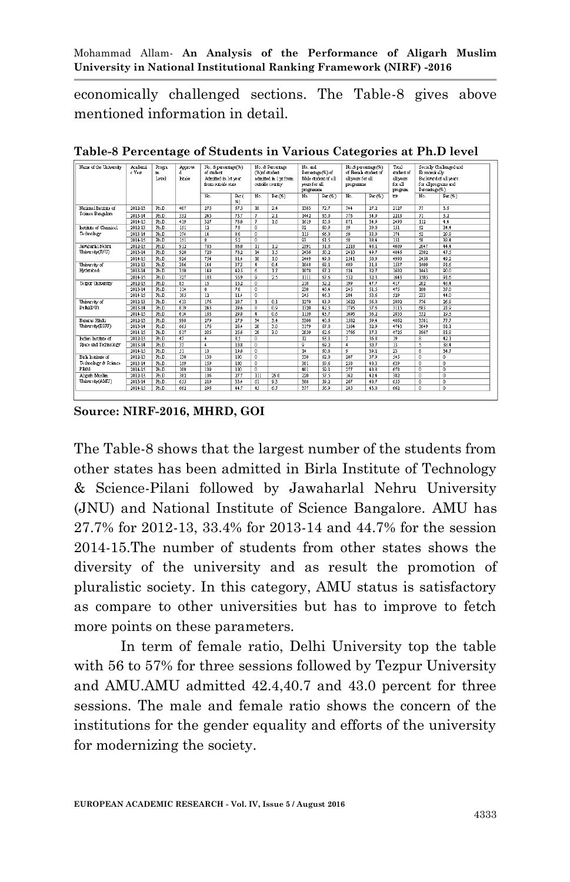economically challenged sections. The Table-8 gives above mentioned information in detail.

| Name of the University | Academi<br>c Yest | Progra<br>m<br>Letel | Approve<br>d<br>Intale | No. & percentage(%)<br>of student.<br>Admitted in 1st vear<br>from outside state |            |                 | No. & Percentage<br>No. and<br>(%)of student.<br>admitted in 1 or from<br>outside country<br>Per.(%)<br>No. |                 | Percentage (%) of<br>Male student of all<br>vers for all<br>programme | No.& percentage (%)<br>of Ferra's student of<br>all years for all<br>programme |                      | Total<br>dudent of<br>allyears<br>for all<br>program | Et onomit ally<br>for all programs and<br>Percentage(%) | Socially Challenge d and<br>Backward of all years |
|------------------------|-------------------|----------------------|------------------------|----------------------------------------------------------------------------------|------------|-----------------|-------------------------------------------------------------------------------------------------------------|-----------------|-----------------------------------------------------------------------|--------------------------------------------------------------------------------|----------------------|------------------------------------------------------|---------------------------------------------------------|---------------------------------------------------|
|                        |                   |                      |                        | No.                                                                              | Per.<br>%) |                 |                                                                                                             | No.             | $Per(N_1)$                                                            | No.                                                                            | Per(S <sub>b</sub> ) | me                                                   | No.                                                     | $Per(N_0)$                                        |
| National Institute of  | 2012-13           | Ph <sub>D</sub>      | 407                    | 275                                                                              | 675        | 10              | 2.4                                                                                                         | 1383            | 72.7                                                                  | 744                                                                            | 272                  | 2127                                                 | 77                                                      | 3.6                                               |
| Science Bangalore      | $2013 - 14$       | Ph.D.                | 332                    | 245                                                                              | 73.7       | $\tau$          | 2.1                                                                                                         | 1442            | 65.0                                                                  | 776                                                                            | 34.9                 | 2218                                                 | 71                                                      | 3.2                                               |
|                        | 2014-15           | Ph.D.                | 419                    | 327                                                                              | 78.0       | $\mathcal{I}$   | 1.6                                                                                                         | 1619            | 65.0                                                                  | 871                                                                            | 34.9                 | 2490                                                 | 112                                                     | 4.4                                               |
| Institute of Chemical  | 2012-13           | Ph.D.                | 151                    | $\overline{12}$                                                                  | 79         | $\mathbf{0}$    |                                                                                                             | 92              | 60.9                                                                  | 59                                                                             | 39.0                 | 151                                                  | 52                                                      | 34.4                                              |
| Technology             | 2013-14           | Ph.D.                | 174                    | 14                                                                               | 8.0        | $\theta$        |                                                                                                             | 115             | 66.0                                                                  | 59                                                                             | 33.9                 | 174                                                  | 52                                                      | 29.8                                              |
|                        | 2014-15           | Ph.D.                | 151                    | 8                                                                                | 52         | $\overline{0}$  |                                                                                                             | 93              | 61.5                                                                  | 58                                                                             | 38.4                 | 151                                                  | 58                                                      | 38.4                                              |
| Jawahar h 1 Nehru      | 2012-13           | Ph.D.                | 912                    | 785                                                                              | 86.0       | $\overline{11}$ | 1.2                                                                                                         | 2391            | 51.8                                                                  | 2218                                                                           | 48.1                 | 4609                                                 | 2047                                                    | 44.4                                              |
| University (JNU)       | $2013 - 14$       | Ph.D.                | 920                    | 720                                                                              | 782        | $\overline{14}$ | $\overline{1.5}$                                                                                            | 2436            | 50.2                                                                  | 2410                                                                           | 49.7                 | 4846                                                 | 2302                                                    | 47.5                                              |
|                        | 2014-15           | Ph.D.                | 926                    | 754                                                                              | 81.4       | 10              | 1.0                                                                                                         | 2449            | 49.0                                                                  | 2541                                                                           | 50.9                 | 4990                                                 | 2458                                                    | 49.2                                              |
| University of          | 2012-13           | Ph.D.                | 386                    | 144                                                                              | 373        | $\overline{4}$  | 0.4                                                                                                         | 1048            | 68.1                                                                  | 489                                                                            | 31.8                 | 1537                                                 | 1409                                                    | 91.6                                              |
| Hyderabad-             | 2013-14           | Ph.D.                | 350                    | 149                                                                              | 425        | $\overline{6}$  | 1.7                                                                                                         | 1078            | 67.2                                                                  | 524                                                                            | 32.7                 | 1602                                                 | 1443                                                    | 90.0                                              |
|                        | 2014-15           | Ph.D.                | 327                    | 183                                                                              | 559        | 9               | 2.5                                                                                                         | 1111            | 67.6                                                                  | 532                                                                            | 32.3                 | 1643                                                 | 1505                                                    | 91.6                                              |
| Te zour University     | 2012-13           | Ph.D.                | 85                     | $\overline{13}$                                                                  | 152        | $\overline{0}$  |                                                                                                             | 218             | 52.2                                                                  | 199                                                                            | 47.7                 | 417                                                  | 202                                                     | 48.4                                              |
|                        | 2013-14           | Ph.D.                | 114                    | $\overline{\mathbf{x}}$                                                          | 70         | $\overline{0}$  |                                                                                                             | 230             | 48.4                                                                  | 245                                                                            | 51.5                 | 475                                                  | 180                                                     | 37.8                                              |
|                        | 2014-15           | Ph.D.                | 105                    | 12                                                                               | 114        | $\overline{0}$  |                                                                                                             | 245             | 46.3                                                                  | 284                                                                            | 53.6                 | 529                                                  | 233                                                     | 44.0                                              |
| University of          | 2012-13           | Ph.D.                | 613                    | 176                                                                              | 28.7       | $\overline{1}$  | 0.1                                                                                                         | 1270            | 43.9                                                                  | 1622                                                                           | 56.0                 | 2892                                                 | 776                                                     | 26.8                                              |
| De hi(DU)              | $2013 - 14$       | Ph.D.                | 819                    | 243                                                                              | 29.6       | 8               | 0.9                                                                                                         | 1320            | 423                                                                   | 1795                                                                           | 57.6                 | 3115                                                 | 683                                                     | 21.9                                              |
|                        | 2014-15           | Ph.D.                | 614                    | 183                                                                              | 29.8       | $\overline{4}$  | 0.6                                                                                                         | 1159            | 43.7                                                                  | 1696                                                                           | 56.2                 | 2855                                                 | 552                                                     | 19.3                                              |
| <b>Banaras Hindu</b>   | 2012-13           | Ph.D.                | 998                    | 279                                                                              | 279        | 34              | 3.4                                                                                                         | 3360            | 40.6                                                                  | 1502                                                                           | 59.4                 | 4862                                                 | 3781                                                    | 77.7                                              |
| University(BHU)        | $2013 - 14$       | Ph.D.                | 665                    | 176                                                                              | 26.4       | 20              | 3.0                                                                                                         | 3179            | 67.0                                                                  | 1564                                                                           | 32.9                 | 4743                                                 | 3849                                                    | 81.1                                              |
|                        | 2014-15           | Ph.D.                | 917                    | 235                                                                              | 256        | $\overline{28}$ | 3.0                                                                                                         | 2959            | 62.6                                                                  | 1766                                                                           | 37.3                 | 4725                                                 | 3867                                                    | 81.8                                              |
| Indian Institute of    | 2012-13           | Ph.D.                | 47                     | $\overline{4}$                                                                   | 85         | $\overline{1}$  |                                                                                                             | $\overline{12}$ | 63.1                                                                  | $\overline{\imath}$                                                            | 36.8                 | 10                                                   | $\overline{\mathbf{z}}$                                 | 42.1                                              |
| Space and Technology   | 2013-14           | Ph.D.                | 37                     | $\overline{4}$                                                                   | 108        | $\mathbf{0}$    |                                                                                                             | $\overline{9}$  | 69.2                                                                  | $\overline{4}$                                                                 | 30.7                 | 13                                                   | 5                                                       | 38.4                                              |
|                        | 2014-15           | Ph.D.                | 51                     | 10                                                                               | 106        | $\overline{0}$  |                                                                                                             | $\overline{14}$ | 60.8                                                                  | ۰                                                                              | 39.1                 | 23                                                   | 8                                                       | 34.7                                              |
| Birls Institute of     | 2012-13           | Ph.D.                | 130                    | 130                                                                              | 100        | $\overline{0}$  |                                                                                                             | 338             | 62.0                                                                  | 207                                                                            | 37.9                 | 545                                                  | $\overline{0}$                                          | $\overline{0}$                                    |
| Technology & Science-  | 2013-14           | Ph.D.                | 159                    | 159                                                                              | 100        | $\overline{0}$  |                                                                                                             | 381             | 59.6                                                                  | 258                                                                            | 40.3                 | 639                                                  | $\overline{0}$                                          | $\theta$                                          |
| Pilani                 | 2014-15           | Ph.D.                | 109                    | 109                                                                              | 100        | $\overline{0}$  |                                                                                                             | 401             | 59.1                                                                  | 277                                                                            | 40.8                 | 678                                                  | n.                                                      | $\mathbf{r}$                                      |
| Aligah Muslin          | 2012-13           | Ph.D.                | 382                    | 106                                                                              | 27.7       | 111             | 29.0                                                                                                        | 220             | 57.5                                                                  | 162                                                                            | 42.4                 | 382                                                  | $\overline{0}$                                          | $\mathbf{0}$                                      |
| University(AMU)        | $2013 - 14$       | Ph.D.                | 655                    | 219                                                                              | 33.4       | 61              | 93                                                                                                          | 388             | 59.2                                                                  | 267                                                                            | 40.7                 | 655                                                  | $\mathbf{0}$                                            | $\theta$                                          |
|                        | 2014-15           | Ph.D.                | 662                    | 296                                                                              | 44.7       | 45              | 6.7                                                                                                         | 377             | 56.9                                                                  | 285                                                                            | 43.0                 | 662                                                  | $\mathbf{0}$                                            | $\mathbf{0}$                                      |

**Table-8 Percentage of Students in Various Categories at Ph.D level**

**Source: NIRF-2016, MHRD, GOI**

The Table-8 shows that the largest number of the students from other states has been admitted in Birla Institute of Technology & Science-Pilani followed by Jawaharlal Nehru University (JNU) and National Institute of Science Bangalore. AMU has 27.7% for 2012-13, 33.4% for 2013-14 and 44.7% for the session 2014-15.The number of students from other states shows the diversity of the university and as result the promotion of pluralistic society. In this category, AMU status is satisfactory as compare to other universities but has to improve to fetch more points on these parameters.

In term of female ratio, Delhi University top the table with 56 to 57% for three sessions followed by Tezpur University and AMU.AMU admitted 42.4,40.7 and 43.0 percent for three sessions. The male and female ratio shows the concern of the institutions for the gender equality and efforts of the university for modernizing the society.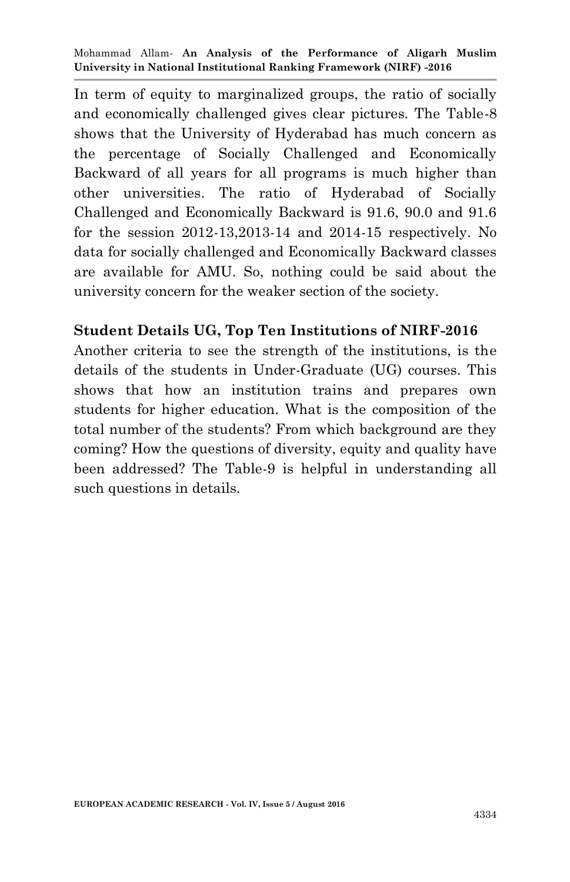In term of equity to marginalized groups, the ratio of socially and economically challenged gives clear pictures. The Table-8 shows that the University of Hyderabad has much concern as the percentage of Socially Challenged and Economically Backward of all years for all programs is much higher than other universities. The ratio of Hyderabad of Socially Challenged and Economically Backward is 91.6, 90.0 and 91.6 for the session 2012-13,2013-14 and 2014-15 respectively. No data for socially challenged and Economically Backward classes are available for AMU. So, nothing could be said about the university concern for the weaker section of the society.

#### **Student Details UG, Top Ten Institutions of NIRF-2016**

Another criteria to see the strength of the institutions, is the details of the students in Under-Graduate (UG) courses. This shows that how an institution trains and prepares own students for higher education. What is the composition of the total number of the students? From which background are they coming? How the questions of diversity, equity and quality have been addressed? The Table-9 is helpful in understanding all such questions in details.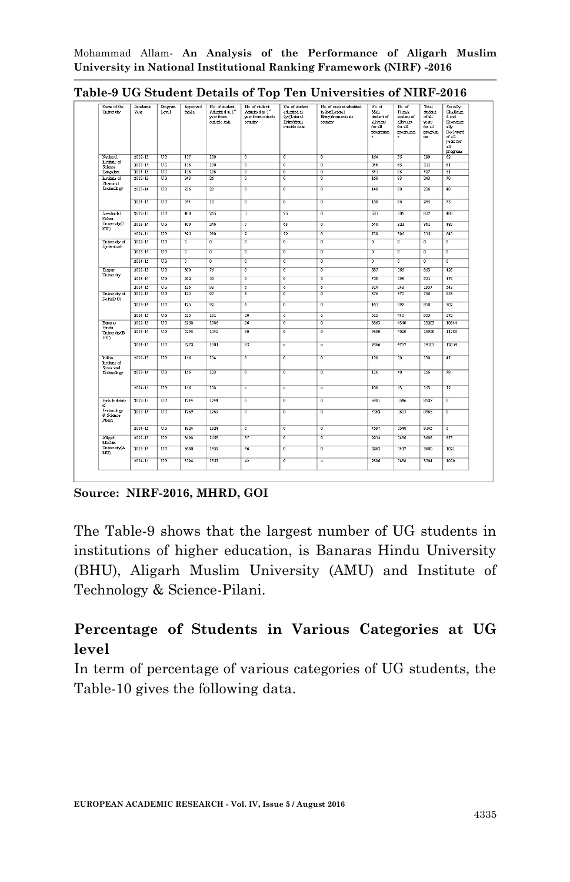| University                          | Academic<br>Year. | Program<br>Level. | <b>Approved</b><br>Intale | No. of student.<br>Admitted in 1"<br>vear from<br>outside state | No. of student<br>Admitted in 1 <sup>11</sup><br>war from outside<br>country | No. of student<br>admitted in<br>2vn/Lateral<br>Burymon.<br>outside state | No. of student admitted<br>in 2vriLateral<br>Entry from outside<br>country | No. of<br>Male<br>student of<br>allyears<br>for all<br>programm<br>è. | No. of<br>Firmb<br>student of<br>all years<br>for all<br>programm<br>é. | Total<br>dudent.<br>of all<br>years.<br>for all<br>program<br>m. | Socially<br>Cha Benze<br>d and<br>Economic<br>slk<br>Backward<br>of all<br>ve as for<br>аll<br>programs |
|-------------------------------------|-------------------|-------------------|---------------------------|-----------------------------------------------------------------|------------------------------------------------------------------------------|---------------------------------------------------------------------------|----------------------------------------------------------------------------|-----------------------------------------------------------------------|-------------------------------------------------------------------------|------------------------------------------------------------------|---------------------------------------------------------------------------------------------------------|
| National                            | $2012 - 13$       | UG <sub></sub>    | 117                       | 109                                                             | $\overline{0}$                                                               | $\overline{0}$                                                            | $\overline{0}$                                                             | 164                                                                   | 35                                                                      | 199                                                              | 62                                                                                                      |
| Institute of<br>Science             | $2013 - 14$       | <b>TIG</b>        | 116                       | $\overline{100}$                                                | $\overline{0}$                                                               | $\overline{0}$                                                            | $\overline{0}$                                                             | 246                                                                   | 65                                                                      | $\overline{311}$                                                 | 61                                                                                                      |
| Bungalore                           | $2014 - 15$       | <b>TIN</b>        | 116                       | 106                                                             | $\overline{0}$                                                               | $\overline{0}$                                                            | $\overline{0}$                                                             | 341                                                                   | 86                                                                      | 427                                                              | $\overline{\mathbf{51}}$                                                                                |
| Institute of<br>Chemical            | $2012 - 13$       | UG                | 243                       | $\overline{\mathfrak{z}_6}$                                     | $\overline{0}$                                                               | $\overline{0}$                                                            | $\overline{0}$                                                             | 160                                                                   | 83                                                                      | 243                                                              | 70                                                                                                      |
| Te chnology                         | $2013 - 14$       | <b>TIN</b>        | 236                       | 20                                                              | $\overline{0}$                                                               | $\overline{0}$                                                            | $\overline{0}$                                                             | 148                                                                   | $\overline{88}$                                                         | 236                                                              | 48                                                                                                      |
|                                     | $2014 - 15$       | <b>TIG</b>        | 244                       | $\overline{10}$                                                 | $\overline{0}$                                                               | $\overline{0}$                                                            | $\overline{0}$                                                             | 158                                                                   | 86                                                                      | 244                                                              | 73                                                                                                      |
| Jawaharlal<br>Nehru                 | $2012 - 13$       | <b>TIN</b>        | 400                       | 255                                                             | $\overline{1}$                                                               | 75                                                                        | $\overline{0}$                                                             | 531                                                                   | 306                                                                     | 837                                                              | 480                                                                                                     |
| University(J<br>NU)                 | 2013-14           | UG                | 400                       | 246                                                             |                                                                              | 63                                                                        | $\overline{0}$                                                             | 540                                                                   | 321                                                                     | 861                                                              | 489                                                                                                     |
|                                     | $2014 - 15$       | UG <sub>1</sub>   | 395                       | 280                                                             | $\overline{9}$                                                               | 72                                                                        | $\overline{0}$                                                             | 719                                                                   | 396                                                                     | 115                                                              | 641                                                                                                     |
| University of<br>Hyderabad-         | 2012-13           | UG                | $\overline{0}$            | $\overline{0}$                                                  | $\overline{0}$                                                               | $\overline{0}$                                                            | $\overline{0}$                                                             | $\overline{0}$                                                        | $\overline{0}$                                                          | $\overline{0}$                                                   | $\overline{0}$                                                                                          |
|                                     | $2013 - 14$       | UG                | $\overline{0}$            | $\overline{0}$                                                  | $\overline{0}$                                                               | $\overline{0}$                                                            | $\overline{0}$                                                             | $\overline{0}$                                                        | $\overline{0}$                                                          | $\overline{0}$                                                   | $\overline{0}$                                                                                          |
|                                     | $2014 - 15$       | UG                | $\overline{0}$            | $\overline{0}$                                                  | $\overline{0}$                                                               | $\overline{0}$                                                            | $\overline{0}$                                                             | $\overline{0}$                                                        | $\overline{0}$                                                          | $\overline{0}$                                                   | $\overline{0}$                                                                                          |
| Tempur                              | 2012.13           | <b>TIN</b>        | 300                       | 76                                                              | $\overline{0}$                                                               | $\overline{0}$                                                            | $\overline{0}$                                                             | 687                                                                   | 166                                                                     | 853                                                              | 428                                                                                                     |
| University                          | 2013.14           | TI <sub>F</sub>   | 292                       | $\overline{\mathcal{C}}$                                        | $\overline{0}$                                                               | $\overline{0}$                                                            | $\overline{0}$                                                             | 753                                                                   | 198                                                                     | 951                                                              | 479                                                                                                     |
|                                     | $2014 - 15$       | UG                | 326                       | 93                                                              | $\bullet$                                                                    | $\circ$                                                                   | $\bullet$                                                                  | 814                                                                   | $\overline{243}$                                                        | 1957                                                             | 543                                                                                                     |
| University of<br>Dehi(DU)           | $2012 - 13$       | UG                | 425                       | 97                                                              | $\overline{\mathbf{g}}$                                                      | $\overline{0}$                                                            | $\overline{0}$                                                             | 376                                                                   | 370                                                                     | 746                                                              | 653                                                                                                     |
|                                     | 2013.14           | UG                | 425                       | 92                                                              | $\overline{6}$                                                               | $\overline{0}$                                                            | $\overline{0}$                                                             | 461                                                                   | 307                                                                     | 8.58                                                             | 302                                                                                                     |
|                                     | $2014 - 15$       | <b>TIG</b>        | 525                       | 101                                                             | $\overline{10}$                                                              | $\overline{\bullet}$                                                      | $\bullet$                                                                  | 515                                                                   | 440                                                                     | 955                                                              | $\overline{272}$                                                                                        |
| Banaras<br>Hindu                    | $2012 - 13$       | UG                | 5258                      | 1086                                                            | 96                                                                           | $\overline{0}$                                                            | $\overline{0}$                                                             | 8863                                                                  | 4340                                                                    | 13203                                                            | 10844                                                                                                   |
| University(B<br>HU)                 | $2013 - 14$       | UG                | 5293                      | 1142                                                            | 90                                                                           | $\overline{0}$                                                            | $\overline{0}$                                                             | 9300                                                                  | 4620                                                                    | 13920                                                            | 11783                                                                                                   |
|                                     | $2014 - 15$       | <b>TIG</b>        | 5272                      | 1301                                                            | $\overline{83}$                                                              | $\overline{0}$                                                            | $\overline{0}$                                                             | 9366                                                                  | 4737                                                                    | 14103                                                            | 120.54                                                                                                  |
| Indian<br>Institute of<br>Space and | $2012 - 13$       | UG                | 156                       | 124                                                             | $\overline{0}$                                                               | $\overline{0}$                                                            | $\overline{0}$                                                             | 120                                                                   | 10                                                                      | 130                                                              | 47                                                                                                      |
| Technology                          | $2013 - 14$       | <b>TIG</b>        | 156                       | 123                                                             | $\overline{0}$                                                               | $\overline{0}$                                                            | $\overline{0}$                                                             | 116                                                                   | 40                                                                      | 156                                                              | 79                                                                                                      |
|                                     | $2014 - 15$       | UG                | 156                       | 128                                                             | $\circ$                                                                      | $\circ$                                                                   | $\circ$                                                                    | 100                                                                   | $\overline{53}$                                                         | 153                                                              | $\overline{72}$                                                                                         |
| <b>Bih habte</b><br>of.             | $2012 - 13$       | <b>TIN</b>        | 1744                      | 1744                                                            | $\overline{0}$                                                               | $\overline{0}$                                                            | $\overline{0}$                                                             | 6981                                                                  | 1546                                                                    | 8527                                                             | $\overline{0}$                                                                                          |
| Te denoto gy<br>& Science-<br>Pilmi | 2013.14           | TIG               | 1769                      | 1769                                                            | $\overline{0}$                                                               | $\overline{0}$                                                            | $\overline{0}$                                                             | 7362                                                                  | 1603                                                                    | 8965                                                             | $\overline{0}$                                                                                          |
|                                     | 2014-15           | UG                | 1824                      | 1824                                                            | $\overline{0}$                                                               | $\overline{0}$                                                            | $\overline{0}$                                                             | 7597                                                                  | 1548                                                                    | 9145                                                             | $\circ$                                                                                                 |
| Aligah<br>Muslim                    | 2012-13           | <b>TIG</b>        | 3698                      | 1558                                                            | 37                                                                           | $\overline{0}$                                                            | $\overline{0}$                                                             | 2212                                                                  | 1486                                                                    | 3698                                                             | 873                                                                                                     |
| University(A<br>MU)                 | $2013 - 14$       | UG                | 3680                      | 14.59                                                           | 46                                                                           | $\overline{0}$                                                            | $\overline{0}$                                                             | 2263                                                                  | 1417                                                                    | 3680                                                             | 1021                                                                                                    |
|                                     | $2014 - 15$       | TIN <sub>3</sub>  | 3794                      | 1357                                                            | 42                                                                           | $\overline{0}$                                                            | $\circ$                                                                    | 2306                                                                  | 1488                                                                    | 3794                                                             | 1029                                                                                                    |

**Table-9 UG Student Details of Top Ten Universities of NIRF-2016**

**Source: NIRF-2016, MHRD, GOI**

The Table-9 shows that the largest number of UG students in institutions of higher education, is Banaras Hindu University (BHU), Aligarh Muslim University (AMU) and Institute of Technology & Science-Pilani.

# **Percentage of Students in Various Categories at UG level**

In term of percentage of various categories of UG students, the Table-10 gives the following data.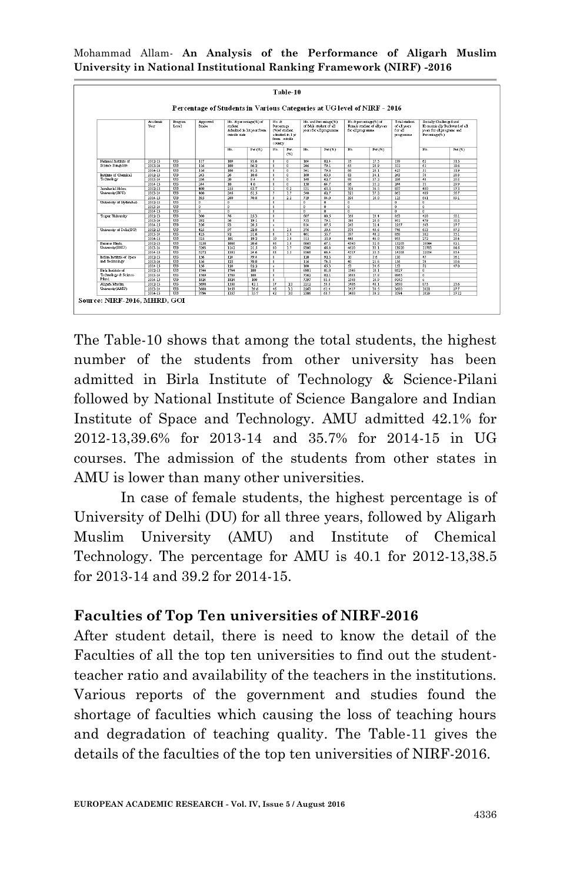|                           |                 |                          | Percentage of Students in Various Categories at UG level of NIRF - 2016 |                                  |                        |                                                    |                                |                                                   |                |                                                                           |                      |                                                       |                                                        |               |                                                                                      |
|---------------------------|-----------------|--------------------------|-------------------------------------------------------------------------|----------------------------------|------------------------|----------------------------------------------------|--------------------------------|---------------------------------------------------|----------------|---------------------------------------------------------------------------|----------------------|-------------------------------------------------------|--------------------------------------------------------|---------------|--------------------------------------------------------------------------------------|
| Vear                      | <b>Academic</b> |                          | <b>Roman</b><br>Level                                                   | <b>Approved</b><br><b>Intake</b> | dudent<br>outcide date | No. & percenage(%) of<br>Admitted in let year from | No. &<br>Percentage<br>country | (%)of student<br>admitted in 1 w.<br>from outside |                | No. and Percentage(%)<br>of Male student of all<br>were for all programme | for all two munners. | No.& percentage (%) of<br>Female student of all years | Total student.<br>of all wars.<br>for all<br>programme | Percentage(%) | Socially Chailenged and<br>Economically Backward of all<br>vegs for all programs and |
|                           |                 |                          |                                                                         | No.                              | Perf%                  | No.                                                | Per.<br>(95)                   | No.                                               | Per(%)         | No.                                                                       | $Perf$ %)            |                                                       | No.                                                    | Per.(%)       |                                                                                      |
| National butititie of     | 2012-13         | TTG.                     | 117                                                                     | 109                              | 93.6                   | $\overline{0}$                                     | $\overline{0}$                 | 164                                               | 824            | 35                                                                        | 17.5                 | 199                                                   | 62                                                     | 315           |                                                                                      |
| Science Bangalore         | 2013-14         | UG                       | 116                                                                     | 100                              | 86.2                   | $\overline{0}$                                     | $\overline{0}$                 | 246                                               | 79.1           | 65                                                                        | 20.9                 | 311                                                   | 61                                                     | 19.6          |                                                                                      |
|                           | 2014-15         | UG                       | 116                                                                     | 106                              | 91.3                   | $\overline{0}$                                     | $\overline{0}$                 | 341                                               | 79.8           | 86                                                                        | 20.1                 | 427                                                   | 51                                                     | 119           |                                                                                      |
| institute of Chamics1     | 2012-13         | UG                       | 243                                                                     | $\overline{\infty}$              | 10.6                   | $\overline{0}$                                     | $\overline{0}$                 | 160                                               | 65.8           | 83                                                                        | 34.1                 | 243                                                   | 70                                                     | 288           |                                                                                      |
| Technology                | 2013-14         | UO                       | 236                                                                     | $\overline{20}$                  | 8.4                    | $\overline{0}$                                     | $\overline{0}$                 | 148                                               | 62.7           | 88                                                                        | 37.2                 | 236                                                   | 48                                                     | 203           |                                                                                      |
|                           | 2014-15         | $\overline{u}$           | 244                                                                     | 10 <sup>10</sup>                 | 4.0                    | $\overline{0}$                                     | $\overline{0}$                 | 158                                               | 64.7           | 86                                                                        | 35.2                 | 244                                                   | $\overline{73}$                                        | 29.9          |                                                                                      |
| Isyshark1N-hm             | $2012 - 13$     | UO                       | 400                                                                     | 255                              | 63.7                   | $\mathbf{1}$                                       | 0.2                            | $\overline{31}$                                   | 63.3           | 306                                                                       | 36.5                 | 837                                                   | 480                                                    | 573           |                                                                                      |
| University (INU)          | $2013 - 14$     | Uũ                       | 400                                                                     | 246                              | 61.5                   | 7                                                  | 1.7                            | 540                                               | 62.7           | 321                                                                       | 37.2                 | 861                                                   | 489                                                    | 567           |                                                                                      |
|                           | $2014 - 15$     | UO                       | 395                                                                     | 280                              | 70.8                   | $\overline{Q}$                                     | 22                             | 719                                               | 84.0           | 396                                                                       | 16.0                 | $\overline{115}$                                      | 641                                                    | 89.1          |                                                                                      |
| University of Hydenbad-   | $2012 - 13$     | UG                       | $\overline{0}$                                                          | m                                |                        | $\overline{0}$                                     |                                | $\overline{0}$                                    | $\overline{0}$ | n                                                                         |                      | $\overline{0}$                                        | n                                                      |               |                                                                                      |
|                           | $2013 - 14$     | UG                       | $\overline{0}$                                                          | $\theta$                         |                        | $\theta$                                           |                                | n                                                 | $\overline{0}$ | $\overline{0}$                                                            |                      | n                                                     | n                                                      |               |                                                                                      |
|                           | 2014-15         | UG                       | $\overline{0}$                                                          | $\overline{a}$                   |                        | $\overline{0}$                                     |                                | $\overline{0}$                                    | $\overline{0}$ | $\overline{0}$                                                            |                      | n                                                     | n                                                      |               |                                                                                      |
| Texaur University         | $2012 - 13$     | $\overline{UG}$          | 300                                                                     | 76                               | 253                    | $\Omega$                                           |                                | 687                                               | 80.5           | 166                                                                       | 19.4                 | 853                                                   | 428                                                    | 50.1          |                                                                                      |
|                           | $2013 - 14$     | UG                       | 292                                                                     | 56                               | 19.1                   | $\overline{0}$                                     |                                | 753                                               | 79.1           | 198                                                                       | 20.8                 | 951                                                   | 479                                                    | 503           |                                                                                      |
|                           | $2014 - 15$     | UG                       | 326                                                                     | 93                               | 28.5                   | $\circ$                                            |                                | 814                                               | 87.5           | 243                                                                       | 12.4                 | 1957                                                  | 543                                                    | 27.7          |                                                                                      |
| University of Delha DUI   | 2012-13         | UG                       | 425                                                                     | 97                               | 22.8                   | $\overline{\mathbf{r}}$                            | 18                             | 376                                               | 50.4           | 370                                                                       | 49.6                 | 746                                                   | 653                                                    | 87.5          |                                                                                      |
|                           | 2013-14         | UG                       | 425                                                                     | 92                               | 21.6                   | $\epsilon$                                         | 14                             | 461                                               | 53.7           | 397                                                                       | 46.2                 | 858                                                   | 302                                                    | 35.1          |                                                                                      |
|                           | 2014-15         | UO                       | 525                                                                     | 101                              | 19.2                   | 10                                                 | 19                             | 515                                               | 53.9           | 440                                                                       | 46.0                 | 955                                                   | 272                                                    | 284           |                                                                                      |
| <b>Bayarss Hindu</b>      | 2012-13         | $\overline{u}$           | 5258                                                                    | 1086                             | 20.6                   | 96                                                 | 18                             | 8863                                              | 67.1           | 4340                                                                      | 32.8                 | 13203                                                 | 10844                                                  | 82.1          |                                                                                      |
| University(BHU)           | $2013 - 14$     | UO                       | 5293                                                                    | 1142                             | 21.5                   | 90                                                 | 17                             | 9300                                              | 66.8           | 4620                                                                      | 33.1                 | 13920                                                 | 11783                                                  | 84.6          |                                                                                      |
|                           | $2014 - 15$     | TIN                      | 5272                                                                    | 1301                             | 24.6                   | R3                                                 | 15                             | 9366                                              | 66.4           | 4737                                                                      | 33.5                 | 14103                                                 | 12054                                                  | 854           |                                                                                      |
| Indian Institute of Space | 2012-13         | $\overline{\text{II}}$ 0 | 156                                                                     | 124                              | 79.4                   | $\alpha$                                           |                                | 120                                               | 92.3           | $10 -$                                                                    | 76                   | 130                                                   | 47                                                     | 361           |                                                                                      |
| and Technology            | $2013 - 14$     | UG                       | 156                                                                     | $\overline{123}$                 | 78.8                   | $\overline{0}$                                     |                                | 116                                               | 74.3           | 40                                                                        | 25.6                 | 156                                                   | $\overline{79}$                                        | 906           |                                                                                      |
|                           | $2014 - 15$     | UG                       | 156                                                                     | $\overline{128}$                 | 82.2                   | $\circ$                                            |                                | 100                                               | 65.3           | 53                                                                        | 34.6                 | 153                                                   |                                                        | 470           |                                                                                      |
| Brk hanns of              | 2012-13         | UG                       | 1744                                                                    | 1744                             | 100                    | $\overline{0}$                                     |                                | 6981                                              | 81.8           | 1546                                                                      | 18.1                 | 8527                                                  | n                                                      |               |                                                                                      |
| Technology & Science-     | $2013 - 14$     | $\overline{UG}$          | 1769                                                                    | 1769                             | 100                    | $\overline{0}$                                     |                                | 7362                                              | 82.1           | 1603                                                                      | 17.8                 | 8965                                                  | $\overline{a}$                                         |               |                                                                                      |
| Pikti                     | $2014 - 15$     | UG                       | 1824                                                                    | 1824                             | 100                    | $\Omega$                                           |                                | 7597                                              | 83.0           | 1548                                                                      | 16.9                 | 9145                                                  | ×                                                      |               |                                                                                      |
| Aligah Muslin             | 2012-13         | $\overline{US}$          | 3698                                                                    | 1558                             | 42.1                   | 37                                                 | 23                             | 2212                                              | 59.8           | 1486                                                                      | 40.1                 | 3698                                                  | 873                                                    | 23.6          |                                                                                      |
| University(AMU)           | 2013-14         | UG                       | 3680                                                                    | 1459                             | 39.6                   | 46                                                 | 31                             | 2263                                              | 61.4           | 1417                                                                      | 38.5                 | 3680                                                  | 1021                                                   | 277           |                                                                                      |
|                           | 2014-15         | UG                       | 3794                                                                    | 1357                             | 35.7                   | 42                                                 | 3.0                            | 2306                                              | 60.7           | 1488                                                                      | 39.2                 | 3794                                                  | 1029                                                   | 27.12         |                                                                                      |

Mohammad Allam*-* **An Analysis of the Performance of Aligarh Muslim University in National Institutional Ranking Framework (NIRF) -2016**

The Table-10 shows that among the total students, the highest number of the students from other university has been admitted in Birla Institute of Technology & Science-Pilani followed by National Institute of Science Bangalore and Indian Institute of Space and Technology. AMU admitted 42.1% for 2012-13,39.6% for 2013-14 and 35.7% for 2014-15 in UG courses. The admission of the students from other states in AMU is lower than many other universities.

In case of female students, the highest percentage is of University of Delhi (DU) for all three years, followed by Aligarh Muslim University (AMU) and Institute of Chemical Technology. The percentage for AMU is 40.1 for 2012-13,38.5 for 2013-14 and 39.2 for 2014-15.

### **Faculties of Top Ten universities of NIRF-2016**

After student detail, there is need to know the detail of the Faculties of all the top ten universities to find out the studentteacher ratio and availability of the teachers in the institutions. Various reports of the government and studies found the shortage of faculties which causing the loss of teaching hours and degradation of teaching quality. The Table-11 gives the details of the faculties of the top ten universities of NIRF-2016.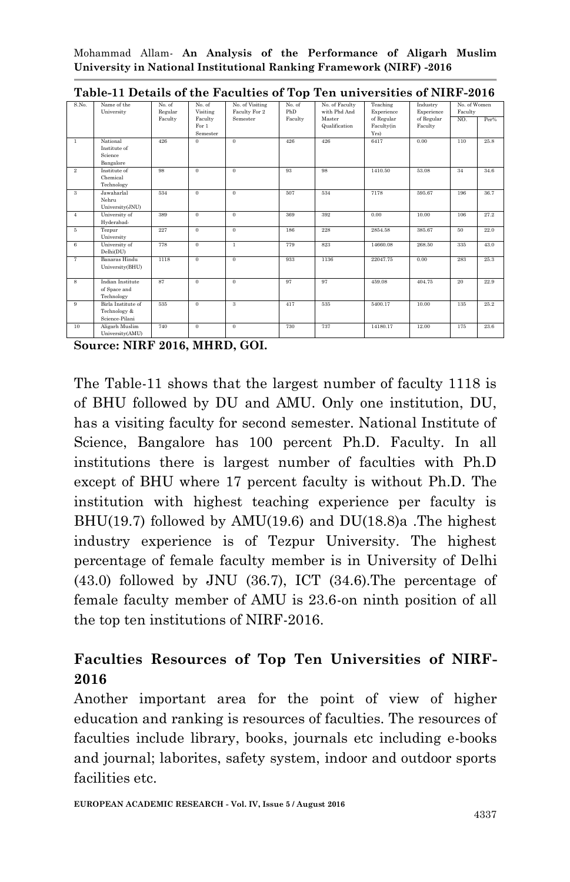| S.No.          | Name of the<br>University                            | No. of<br>Regular | No. of<br>Visiting           | No. of Visiting<br>Faculty For 2 | No. of<br>PhD | No. of Faculty<br>with Phd And | Teaching<br>Experience           | Industry<br>Experience | No. of Women<br>Faculty |      |
|----------------|------------------------------------------------------|-------------------|------------------------------|----------------------------------|---------------|--------------------------------|----------------------------------|------------------------|-------------------------|------|
|                |                                                      | Faculty           | Faculty<br>For 1<br>Semester | Semester                         | Faculty       | Master<br>Qualification        | of Regular<br>Faculty(in<br>Yrs) | of Regular<br>Faculty  | NO.                     | Per% |
| $\mathbf{1}$   | National<br>Institute of<br>Science<br>Bangalore     | 426               | $\Omega$                     | $\theta$                         | 426           | 426                            | 6417                             | 0.00                   | 110                     | 25.8 |
| $\overline{2}$ | Institute of<br>Chemical<br>Technology               | 98                | $\mathbf{0}$                 | $\theta$                         | 93            | 98                             | 1410.50                          | 53.08                  | 34                      | 34.6 |
| 3              | Jawaharlal<br>Nehru<br>University(JNU)               | 534               | $\bf{0}$                     | $\theta$                         | 507           | 534                            | 7178                             | 595.67                 | 196                     | 36.7 |
| $\overline{4}$ | University of<br>Hyderabad-                          | 389               | $\theta$                     | $\theta$                         | 369           | 392                            | 0.00                             | 10.00                  | 106                     | 27.2 |
| 5              | Tezpur<br>University                                 | 227               | $\mathbf{0}$                 | $\theta$                         | 186           | 228                            | 2854.58                          | 385.67                 | 50                      | 22.0 |
| 6              | University of<br>Delhi(DU)                           | 778               | $\overline{0}$               | $\mathbf{1}$                     | 779           | 823                            | 14660.08                         | 268.50                 | 335                     | 43.0 |
| $\overline{7}$ | Banaras Hindu<br>University(BHU)                     | 1118              | $\overline{0}$               | $\Omega$                         | 933           | 1136                           | 22047.75                         | 0.00                   | 283                     | 25.3 |
| 8              | Indian Institute<br>of Space and<br>Technology       | 87                | $\Omega$                     | $\theta$                         | 97            | 97                             | 459.08                           | 404.75                 | 20                      | 22.9 |
| 9              | Birla Institute of<br>Technology &<br>Science-Pilani | 535               | $\mathbf{0}$                 | $\mathbf{a}$                     | 417           | 535                            | 5400.17                          | 10.00                  | 135                     | 25.2 |
| 10             | Aligarh Muslim<br>University(AMU)                    | 740               | $\mathbf{0}$                 | $\theta$                         | 730           | 737                            | 14180.17                         | 12.00                  | 175                     | 23.6 |

**Table-11 Details of the Faculties of Top Ten universities of NIRF-2016**

**Source: NIRF 2016, MHRD, GOI.**

The Table-11 shows that the largest number of faculty 1118 is of BHU followed by DU and AMU. Only one institution, DU, has a visiting faculty for second semester. National Institute of Science, Bangalore has 100 percent Ph.D. Faculty. In all institutions there is largest number of faculties with Ph.D except of BHU where 17 percent faculty is without Ph.D. The institution with highest teaching experience per faculty is BHU(19.7) followed by AMU(19.6) and DU(18.8)a .The highest industry experience is of Tezpur University. The highest percentage of female faculty member is in University of Delhi (43.0) followed by JNU (36.7), ICT (34.6).The percentage of female faculty member of AMU is 23.6-on ninth position of all the top ten institutions of NIRF-2016.

# **Faculties Resources of Top Ten Universities of NIRF-2016**

Another important area for the point of view of higher education and ranking is resources of faculties. The resources of faculties include library, books, journals etc including e-books and journal; laborites, safety system, indoor and outdoor sports facilities etc.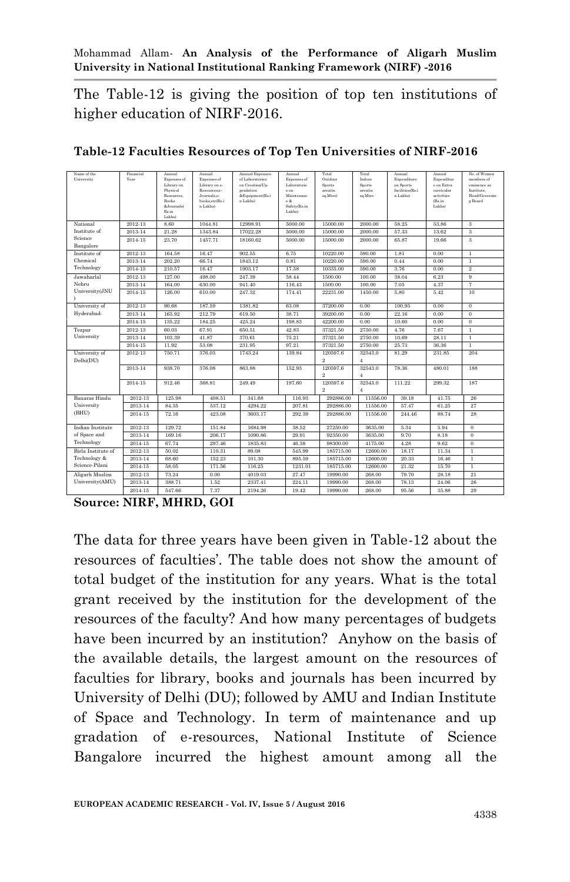The Table-12 is giving the position of top ten institutions of higher education of NIRF-2016.

| Name of the<br>University  | Financial<br>Year | Annual<br>Expenses of<br>Library on<br>Physical<br>Resources.<br>Books<br>&Journals(<br>Rs.in<br>Lakhs) | Annual<br>Expenses of<br>Library on e-<br>Resources:<br>Journals.e-<br>books.etc(Rs.i<br>n Lakhs) | Annual Expenses<br>of Laboratories<br>on Creation/Up-<br>gradation<br>&Equipment(Rs.i<br>n Lakhs) | Annual<br>Expenses of<br>Laboratorie<br>$s$ on<br>Maintenanc<br>e &<br>Safety(Rs.in<br>Lakhs) | Total<br>Outdoor<br>Sports<br>area(in<br>sq.Mtrs) | Total<br>Indoor<br>Sports<br>area(in<br>sq.Mtrs | Annual<br>Expenditure<br>on Sports<br>facilities(Rs.i<br>n Lakhs) | Annual<br>Expenditur<br>e on Extra<br>curricular<br>activities<br>(Rs.in<br>Lakhs) | No. of Women<br>members of<br>eminence as<br>Institute.<br>Head/Governin<br>g Board |
|----------------------------|-------------------|---------------------------------------------------------------------------------------------------------|---------------------------------------------------------------------------------------------------|---------------------------------------------------------------------------------------------------|-----------------------------------------------------------------------------------------------|---------------------------------------------------|-------------------------------------------------|-------------------------------------------------------------------|------------------------------------------------------------------------------------|-------------------------------------------------------------------------------------|
| National                   | 2012-13           | 8.60                                                                                                    | 1044.81                                                                                           | 12998.91                                                                                          | 5000.00                                                                                       | 15000.00                                          | 2000.00                                         | 58.25                                                             | 53.86                                                                              | 3                                                                                   |
| Institute of               | 2013-14           | 21.28                                                                                                   | 1343.84                                                                                           | 17022.28                                                                                          | 5000.00                                                                                       | 15000.00                                          | 2000.00                                         | 57.33                                                             | 13.62                                                                              | 3                                                                                   |
| Science                    | 2014-15           | 23.70                                                                                                   | 1457.71                                                                                           | 18160.62                                                                                          | 5000.00                                                                                       | 15000.00                                          | 2000.00                                         | 65.87                                                             | 19.66                                                                              | 3                                                                                   |
| Bangalore                  |                   |                                                                                                         |                                                                                                   |                                                                                                   |                                                                                               |                                                   |                                                 |                                                                   |                                                                                    |                                                                                     |
| Institute of<br>Chemical   | 2012-13           | 164.58                                                                                                  | 16.47                                                                                             | 902.55                                                                                            | 6.75                                                                                          | 10220.00                                          | 590.00                                          | 1.81                                                              | 0.00                                                                               | $\mathbf{1}$                                                                        |
| Technology                 | 2013-14           | 202.20                                                                                                  | 66.74                                                                                             | 1843.12                                                                                           | 0.81                                                                                          | 10220.00                                          | 590.00                                          | 0.44                                                              | 0.00                                                                               | $\mathbf{1}$                                                                        |
|                            | 2014-15           | 210.57                                                                                                  | 16.47                                                                                             | 1903.17                                                                                           | 17.58                                                                                         | 10335.00                                          | 590.00                                          | 3.76                                                              | 0.00                                                                               | $\overline{2}$                                                                      |
| Jawaharlal                 | 2012-13           | 127.00                                                                                                  | 498.00                                                                                            | 247.39                                                                                            | 58.44                                                                                         | 1500.00                                           | 100.00                                          | 38.04                                                             | 6.23                                                                               | 9                                                                                   |
| Nehru                      | 2013-14           | 164.00                                                                                                  | 630.00                                                                                            | 941.40                                                                                            | 116.43                                                                                        | 1500.00                                           | 100.00                                          | 7.05                                                              | 4.37                                                                               | 7                                                                                   |
| University(JNU             | 2014-15           | 126.00                                                                                                  | 610.00                                                                                            | 247.32                                                                                            | 174.41                                                                                        | 22231.00                                          | 1450.00                                         | 5.80                                                              | 5.42                                                                               | 10                                                                                  |
| University of              | 2012-13           | 90.68                                                                                                   | 187.59                                                                                            | 1381.82                                                                                           | 63.08                                                                                         | 37200.00                                          | 0.00                                            | 100.95                                                            | 0.00                                                                               | $\Omega$                                                                            |
| Hyderabad-                 | 2013-14           | 163.92                                                                                                  | 212.79                                                                                            | 619.50                                                                                            | 38.71                                                                                         | 39200.00                                          | 0.00                                            | 22.16                                                             | 0.00                                                                               | $\theta$                                                                            |
|                            | 2014-15           | 135.22                                                                                                  | 184.25                                                                                            | 425.24                                                                                            | 198.83                                                                                        | 42200.00                                          | 0.00                                            | 10.60                                                             | 0.00                                                                               | $\theta$                                                                            |
| Tezpur                     | 2012-13           | 60.03                                                                                                   | 67.91                                                                                             | 650.51                                                                                            | 42.83                                                                                         | 37321.50                                          | 2750.00                                         | 4.76                                                              | 7.67                                                                               | $\mathbf{1}$                                                                        |
| University                 | 2013-14           | 103.39                                                                                                  | 41.87                                                                                             | 370.61                                                                                            | 75.21                                                                                         | 37321.50                                          | 2750.00                                         | 10.69                                                             | 28.11                                                                              | $\mathbf{1}$                                                                        |
|                            | 2014-15           | 11.92                                                                                                   | 53.08                                                                                             | 231.95                                                                                            | 97.21                                                                                         | 37321.50                                          | 2750.00                                         | 25.73                                                             | 36.36                                                                              | $\mathbf{1}$                                                                        |
| University of<br>Delhi(DU) | 2012-13           | 750.71                                                                                                  | 376.03                                                                                            | 1743.24                                                                                           | 139.84                                                                                        | 120597.6<br>$^{9}$                                | 32543.0<br>4                                    | 81.29                                                             | 231.85                                                                             | 204                                                                                 |
|                            | 2013-14           | 938.70                                                                                                  | 376.08                                                                                            | 863.88                                                                                            | 152.93                                                                                        | 120597.6<br>$^{9}$                                | 32543.0<br>$\boldsymbol{4}$                     | 78.36                                                             | 480.01                                                                             | 188                                                                                 |
|                            | 2014-15           | 912.46                                                                                                  | 368.81                                                                                            | 249.49                                                                                            | 197.60                                                                                        | 120597.6<br>$^{2}$                                | 32543.0<br>$\overline{4}$                       | 111.22                                                            | 299.32                                                                             | 187                                                                                 |
| Banaras Hindu              | 2012-13           | 125.98                                                                                                  | 408.51                                                                                            | 341.68                                                                                            | 116.93                                                                                        | 292886.00                                         | 11556.00                                        | 39 18                                                             | 41.75                                                                              | 26                                                                                  |
| University                 | 2013-14           | 84.35                                                                                                   | 537.12                                                                                            | 4294.22                                                                                           | 207.81                                                                                        | 292886.00                                         | 11556.00                                        | 57.47                                                             | 61.25                                                                              | 27                                                                                  |
| (BHU)                      | 2014-15           | 72.16                                                                                                   | 423.08                                                                                            | 3603.17                                                                                           | 292.39                                                                                        | 292886.00                                         | 11556.00                                        | 244.46                                                            | 88.74                                                                              | 28                                                                                  |
| Indian Institute           | 2012-13           | 129.72                                                                                                  | 151.84                                                                                            | 1684.98                                                                                           | 38.52                                                                                         | 27250.00                                          | 3635.00                                         | 5.34                                                              | 5.94                                                                               | $\mathbf{0}$                                                                        |
| of Space and               | 2013-14           | 169.16                                                                                                  | 206.17                                                                                            | 1090.86                                                                                           | 29.91                                                                                         | 92350.00                                          | 3635.00                                         | 9.70                                                              | 8.18                                                                               | $\mathbf{0}$                                                                        |
| Technology                 | 2014-15           | 67.74                                                                                                   | 297.46                                                                                            | 1835.83                                                                                           | 46.38                                                                                         | 98300.00                                          | 4175.00                                         | 4.28                                                              | 9.62                                                                               | $\Omega$                                                                            |
| Birla Institute of         | 2012-13           | 50.02                                                                                                   | 110.31                                                                                            | 89.08                                                                                             | 545.99                                                                                        | 185715.00                                         | 12600.00                                        | 18.17                                                             | 11.34                                                                              | $\mathbf{1}$                                                                        |
| Technology &               | 2013-14           | 68.60                                                                                                   | 152.23                                                                                            | 101.30                                                                                            | 895.59                                                                                        | 185715.00                                         | 12600.00                                        | 20.33                                                             | 16.46                                                                              | $\mathbf{1}$                                                                        |
| Science-Pilani             | 2014-15           | 58.05                                                                                                   | 171.56                                                                                            | 116.25                                                                                            | 1231.01                                                                                       | 185715.00                                         | 12600.00                                        | 21.32                                                             | 15.70                                                                              | T                                                                                   |
| Aligarh Muslim             | 2012-13           | 73.24                                                                                                   | 0.00                                                                                              | 4019.03                                                                                           | 27.47                                                                                         | 19990.00                                          | 268.00                                          | 79.70                                                             | 28.18                                                                              | 21                                                                                  |
| University(AMU)            | 2013-14           | 388.71                                                                                                  | 1.52                                                                                              | 2337.41                                                                                           | 224.11                                                                                        | 19990.00                                          | 268.00                                          | 78.13                                                             | 24.06                                                                              | 26                                                                                  |
|                            | 2014-15           | 547.66                                                                                                  | 7.37                                                                                              | 2194.26                                                                                           | 19.42                                                                                         | 19990.00                                          | 268.00                                          | 95.56                                                             | 35.88                                                                              | 29                                                                                  |

**Table-12 Faculties Resources of Top Ten Universities of NIRF-2016**

**Source: NIRF, MHRD, GOI**

The data for three years have been given in Table-12 about the resources of faculties'. The table does not show the amount of total budget of the institution for any years. What is the total grant received by the institution for the development of the resources of the faculty? And how many percentages of budgets have been incurred by an institution? Anyhow on the basis of the available details, the largest amount on the resources of faculties for library, books and journals has been incurred by University of Delhi (DU); followed by AMU and Indian Institute of Space and Technology. In term of maintenance and up gradation of e-resources, National Institute of Science Bangalore incurred the highest amount among all the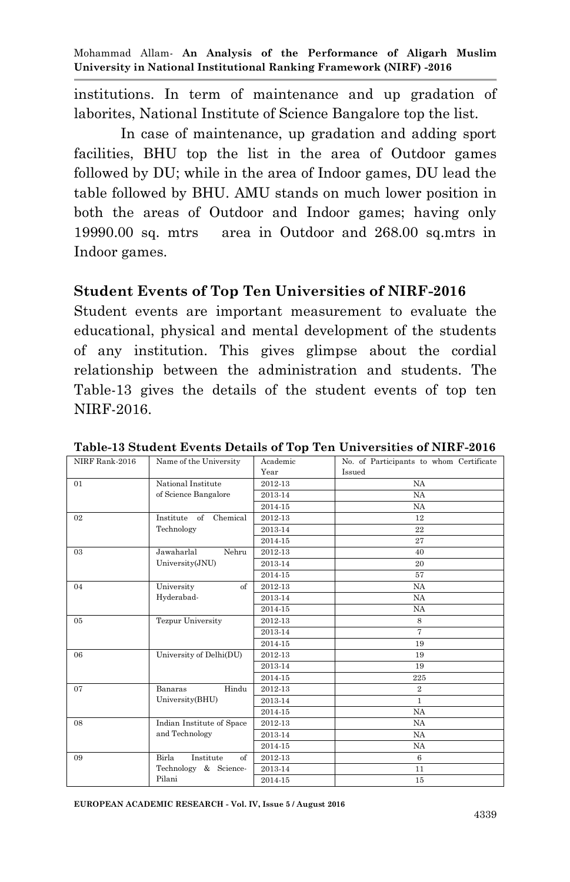institutions. In term of maintenance and up gradation of laborites, National Institute of Science Bangalore top the list.

In case of maintenance, up gradation and adding sport facilities, BHU top the list in the area of Outdoor games followed by DU; while in the area of Indoor games, DU lead the table followed by BHU. AMU stands on much lower position in both the areas of Outdoor and Indoor games; having only 19990.00 sq. mtrs area in Outdoor and 268.00 sq.mtrs in Indoor games.

#### **Student Events of Top Ten Universities of NIRF-2016**

Student events are important measurement to evaluate the educational, physical and mental development of the students of any institution. This gives glimpse about the cordial relationship between the administration and students. The Table-13 gives the details of the student events of top ten NIRF-2016.

| NIRF Rank-2016 | Name of the University                                       | Academic | No. of Participants to whom Certificate |
|----------------|--------------------------------------------------------------|----------|-----------------------------------------|
|                |                                                              | Year     | Issued                                  |
| 01             | National Institute                                           | 2012-13  | <b>NA</b>                               |
|                | of Science Bangalore                                         | 2013-14  | <b>NA</b>                               |
|                |                                                              | 2014-15  | <b>NA</b>                               |
| 02             | Institute<br>of<br>Chemical                                  | 2012-13  | 12                                      |
|                | Technology                                                   | 2013-14  | 22                                      |
|                |                                                              | 2014-15  | 27                                      |
| 03             | Jawaharlal<br>Nehru                                          | 2012-13  | 40                                      |
|                | University(JNU)                                              | 2013-14  | 20                                      |
|                |                                                              | 2014-15  | 57                                      |
| 04             | University<br>of                                             | 2012-13  | <b>NA</b>                               |
|                | Hyderabad-                                                   | 2013-14  | <b>NA</b>                               |
|                |                                                              | 2014-15  | <b>NA</b>                               |
| 05             | <b>Tezpur University</b>                                     | 2012-13  | 8                                       |
|                |                                                              | 2013-14  | 7                                       |
|                |                                                              | 2014-15  | 19                                      |
| 06             | University of Delhi(DU)                                      | 2012-13  | 19                                      |
|                |                                                              | 2013-14  | 19                                      |
|                |                                                              | 2014-15  | 225                                     |
| 07             | Hindu<br>Banaras                                             | 2012-13  | $\overline{2}$                          |
|                | University(BHU)                                              | 2013-14  | $\mathbf{1}$                            |
|                |                                                              | 2014-15  | <b>NA</b>                               |
| 08             | Indian Institute of Space                                    | 2012-13  | <b>NA</b>                               |
|                | and Technology                                               | 2013-14  | <b>NA</b>                               |
|                |                                                              | 2014-15  | <b>NA</b>                               |
| 09             | Birla<br>Institute<br>$\alpha$ <sup><math>\beta</math></sup> | 2012-13  | 6                                       |
|                | Technology<br>& Science-                                     | 2013-14  | 11                                      |
|                | Pilani                                                       | 2014-15  | 15                                      |

**Table-13 Student Events Details of Top Ten Universities of NIRF-2016**

**EUROPEAN ACADEMIC RESEARCH - Vol. IV, Issue 5 / August 2016**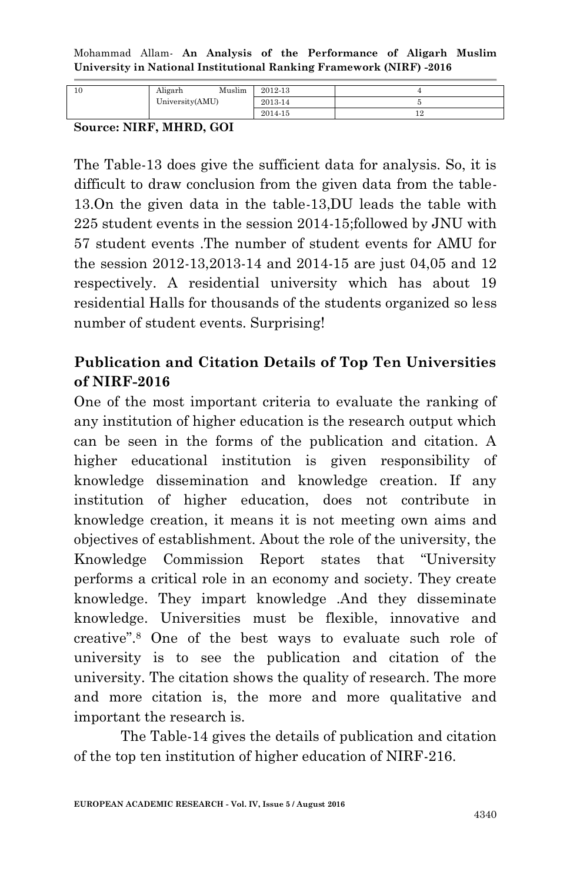| University(AMU)<br>2013-14 | 10 | Muslim<br>Aligarh | 2012-13 |  |
|----------------------------|----|-------------------|---------|--|
|                            |    |                   |         |  |
|                            |    |                   | 2014-15 |  |

**Source: NIRF, MHRD, GOI**

The Table-13 does give the sufficient data for analysis. So, it is difficult to draw conclusion from the given data from the table-13.On the given data in the table-13,DU leads the table with 225 student events in the session 2014-15;followed by JNU with 57 student events .The number of student events for AMU for the session 2012-13,2013-14 and 2014-15 are just 04,05 and 12 respectively. A residential university which has about 19 residential Halls for thousands of the students organized so less number of student events. Surprising!

# **Publication and Citation Details of Top Ten Universities of NIRF-2016**

One of the most important criteria to evaluate the ranking of any institution of higher education is the research output which can be seen in the forms of the publication and citation. A higher educational institution is given responsibility of knowledge dissemination and knowledge creation. If any institution of higher education, does not contribute in knowledge creation, it means it is not meeting own aims and objectives of establishment. About the role of the university, the Knowledge Commission Report states that "University performs a critical role in an economy and society. They create knowledge. They impart knowledge .And they disseminate knowledge. Universities must be flexible, innovative and creative".<sup>8</sup> One of the best ways to evaluate such role of university is to see the publication and citation of the university. The citation shows the quality of research. The more and more citation is, the more and more qualitative and important the research is.

The Table-14 gives the details of publication and citation of the top ten institution of higher education of NIRF-216.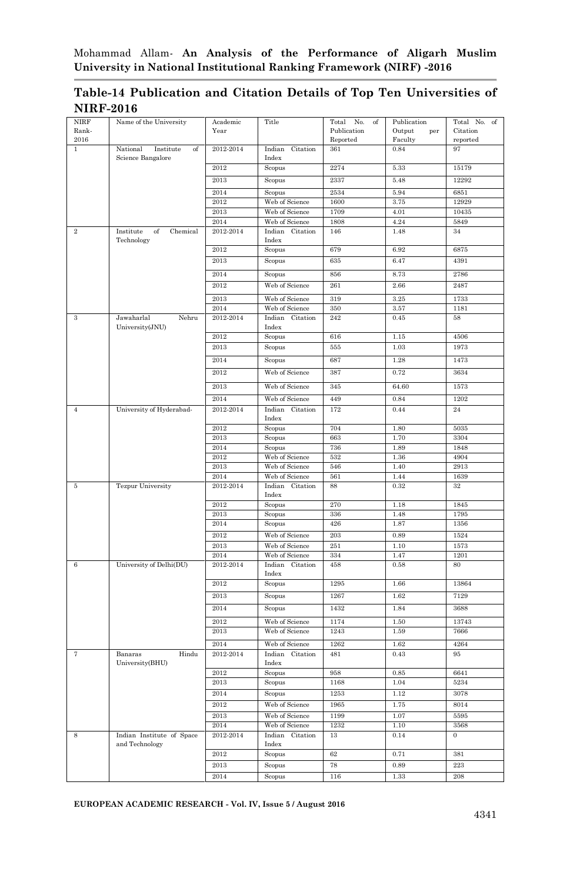#### **Table-14 Publication and Citation Details of Top Ten Universities of NIRF-2016**

| <b>NIRF</b>    | Name of the University                      | Academic          | Title                                | Total<br>No.<br>of      | Publication              | Total No.<br>of      |
|----------------|---------------------------------------------|-------------------|--------------------------------------|-------------------------|--------------------------|----------------------|
| Rank-<br>2016  |                                             | Year              |                                      | Publication<br>Reported | Output<br>per<br>Faculty | Citation<br>reported |
| ī              | National<br>Institute<br>of                 | 2012-2014         | Indian<br>Citation                   | 361                     | 0.84                     | 97                   |
|                | Science Bangalore                           | 2012              | Index<br>Scopus                      | 2274                    | 5.33                     | 15179                |
|                |                                             | 2013              | Scopus                               | 2337                    | 5.48                     | 12292                |
|                |                                             | 2014              |                                      | 2534                    | 5.94                     | 6851                 |
|                |                                             | 2012              | Scopus<br>Web of Science             | 1600                    | 3.75                     | 12929                |
|                |                                             | 2013              | Web of Science                       | 1709                    | 4.01                     | 10435                |
|                |                                             | 2014              | Web of Science                       | 1808                    | 4.24                     | 5849                 |
| $\overline{2}$ | Institute<br>of<br>Chemical<br>Technology   | 2012-2014         | Indian Citation<br>Index             | 146                     | 1.48                     | 34                   |
|                |                                             | 2012              | Scopus                               | 679                     | 6.92                     | 6875                 |
|                |                                             | 2013              | Scopus                               | 635                     | 6.47                     | 4391                 |
|                |                                             | 2014              | Scopus                               | 856                     | 8.73                     | 2786                 |
|                |                                             | 2012              | Web of Science                       | 261                     | 2.66                     | 2487                 |
|                |                                             | 2013              | Web of Science                       | 319                     | 3.25                     | 1733                 |
|                |                                             | 2014              | Web of Science                       | 350                     | 3.57                     | 1181                 |
| $\!3$          | Jawaharlal<br>Nehru<br>University(JNU)      | 2012-2014         | Indian<br>Citation<br>$_{\rm Index}$ | 242                     | 0.45                     | 58                   |
|                |                                             | 2012              | Scopus                               | 616                     | 1.15                     | 4506                 |
|                |                                             | 2013              | Scopus                               | 555                     | 1.03                     | 1973                 |
|                |                                             | 2014              | Scopus                               | 687                     | 1.28                     | 1473                 |
|                |                                             | 2012              | Web of Science                       | 387                     | 0.72                     | 3634                 |
|                |                                             | 2013              | Web of Science                       | 345                     | 64.60                    | 1573                 |
|                |                                             | 2014              | Web of Science                       | 449                     | 0.84                     | 1202                 |
| $\,4\,$        | University of Hyderabad-                    | 2012-2014         | Indian<br>Citation<br>Index          | 172                     | 0.44                     | 24                   |
|                |                                             | 2012              | Scopus                               | 704                     | 1.80                     | 5035                 |
|                |                                             | 2013<br>2014      | Scopus                               | 663<br>736              | 1.70<br>1.89             | 3304                 |
|                |                                             | 2012              | Scopus<br>Web of Science             | 532                     | 1.36                     | 1848<br>4904         |
|                |                                             | 2013              | Web of Science                       | 546                     | 1.40                     | 2913                 |
|                |                                             | 2014              | Web of Science                       | 561                     | 1.44                     | 1639                 |
| $\rm 5$        | <b>Tezpur University</b>                    | 2012-2014         | Indian Citation<br>Index             | 88                      | 0.32                     | 32                   |
|                |                                             | 2012              | Scopus                               | 270                     | 1.18                     | 1845                 |
|                |                                             | 2013              | Scopus                               | 336                     | 1.48                     | 1795                 |
|                |                                             | 2014              | Scopus                               | 426                     | 1.87                     | 1356                 |
|                |                                             | 2012              | Web of Science                       | 203                     | 0.89                     | 1524                 |
|                |                                             | 2013              | Web of Science<br>Web of Science     | 251<br>334              | 1.10<br>1.47             | 1573<br>1201         |
| 6              | University of Delhi(DU)                     | 2014<br>2012-2014 | Citation<br>Indian                   | 458                     | 0.58                     | 80                   |
|                |                                             |                   | Index                                |                         |                          |                      |
|                |                                             | 2012              | Scopus                               | 1295                    | 1.66                     | 13864                |
|                |                                             | 2013              | Scopus                               | 1267                    | 1.62                     | 7129                 |
|                |                                             | 2014              | Scopus                               | 1432                    | 1.84                     | 3688                 |
|                |                                             | 2012              | Web of Science                       | 1174                    | 1.50                     | 13743                |
|                |                                             | 2013              | Web of Science                       | 1243                    | 1.59                     | 7666                 |
|                |                                             | 2014              | Web of Science                       | 1262                    | 1.62                     | 4264                 |
| $\overline{7}$ | Banaras<br>Hindu<br>University(BHU)         | 2012-2014         | Indian Citation<br>Index             | 481                     | 0.43                     | 95                   |
|                |                                             | 2012              | Scopus                               | 958                     | 0.85                     | 6641                 |
|                |                                             | 2013<br>2014      | Scopus<br>Scopus                     | 1168<br>1253            | 1.04<br>1.12             | 5234<br>3078         |
|                |                                             | 2012              | Web of Science                       | 1965                    | 1.75                     | 8014                 |
|                |                                             | 2013              | Web of Science                       | 1199                    | 1.07                     | 5595                 |
|                |                                             | 2014              | Web of Science                       | 1232                    | 1.10                     | 3568                 |
| 8              | Indian Institute of Space<br>and Technology | 2012-2014         | Indian<br>Citation<br>Index          | $13\,$                  | 0.14                     | $\overline{0}$       |
|                |                                             | 2012              | Scopus                               | 62                      | 0.71                     | 381                  |
|                |                                             | 2013              | Scopus                               | 78                      | 0.89                     | 223                  |
|                |                                             | 2014              | Scopus                               | 116                     | 1.33                     | 208                  |

**EUROPEAN ACADEMIC RESEARCH - Vol. IV, Issue 5 / August 2016**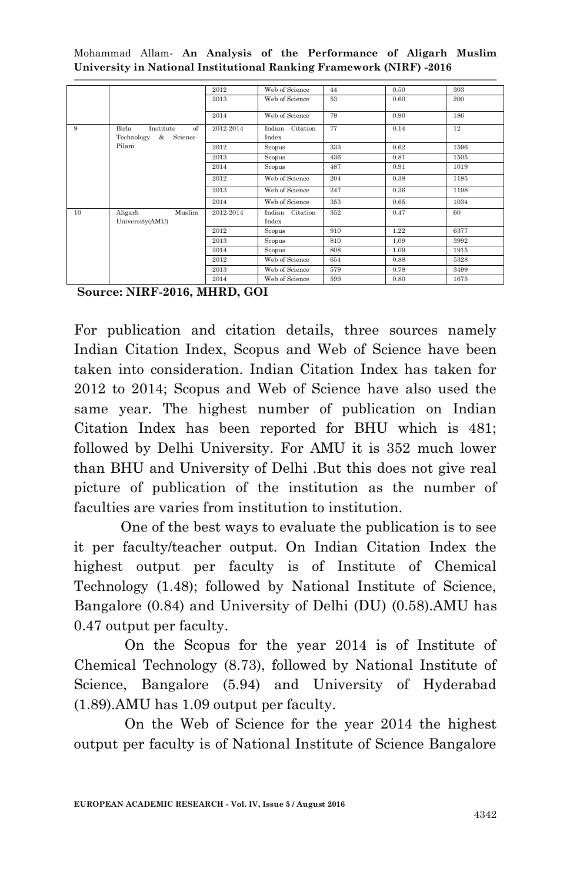|    |                                                                 | 2012      | Web of Science           | 44  | 0.50 | 303  |
|----|-----------------------------------------------------------------|-----------|--------------------------|-----|------|------|
|    |                                                                 | 2013      | Web of Science           | 53  | 0.60 | 200  |
|    |                                                                 | 2014      | Web of Science           | 79  | 0.90 | 186  |
| 9  | Birla<br>$\alpha$ f<br>Institute<br>Technology<br>&<br>Science- | 2012-2014 | Indian Citation<br>Index | 77  | 0.14 | 12   |
|    | Pilani                                                          | 2012      | Scopus                   | 333 | 0.62 | 1596 |
|    |                                                                 | 2013      | Scopus                   | 436 | 0.81 | 1505 |
|    |                                                                 | 2014      | Scopus                   | 487 | 0.91 | 1019 |
|    |                                                                 | 2012      | Web of Science           | 204 | 0.38 | 1185 |
|    |                                                                 | 2013      | Web of Science           | 247 | 0.36 | 1198 |
|    |                                                                 | 2014      | Web of Science           | 353 | 0.65 | 1034 |
| 10 | Muslim<br>Aligarh<br>University(AMU)                            | 2012-2014 | Indian Citation<br>Index | 352 | 0.47 | 60   |
|    |                                                                 | 2012      | Scopus                   | 910 | 1.22 | 6377 |
|    |                                                                 | 2013      | Scopus                   | 810 | 1.09 | 3992 |
|    |                                                                 | 2014      | Scopus                   | 808 | 1.09 | 1915 |
|    |                                                                 | 2012      | Web of Science           | 654 | 0.88 | 5328 |
|    |                                                                 | 2013      | Web of Science           | 579 | 0.78 | 3499 |
|    |                                                                 | 2014      | Web of Science           | 599 | 0.80 | 1675 |

Mohammad Allam*-* **An Analysis of the Performance of Aligarh Muslim University in National Institutional Ranking Framework (NIRF) -2016**

For publication and citation details, three sources namely Indian Citation Index, Scopus and Web of Science have been taken into consideration. Indian Citation Index has taken for 2012 to 2014; Scopus and Web of Science have also used the same year. The highest number of publication on Indian Citation Index has been reported for BHU which is 481; followed by Delhi University. For AMU it is 352 much lower than BHU and University of Delhi .But this does not give real picture of publication of the institution as the number of faculties are varies from institution to institution.

One of the best ways to evaluate the publication is to see it per faculty/teacher output. On Indian Citation Index the highest output per faculty is of Institute of Chemical Technology (1.48); followed by National Institute of Science, Bangalore (0.84) and University of Delhi (DU) (0.58).AMU has 0.47 output per faculty.

On the Scopus for the year 2014 is of Institute of Chemical Technology (8.73), followed by National Institute of Science, Bangalore (5.94) and University of Hyderabad (1.89).AMU has 1.09 output per faculty.

On the Web of Science for the year 2014 the highest output per faculty is of National Institute of Science Bangalore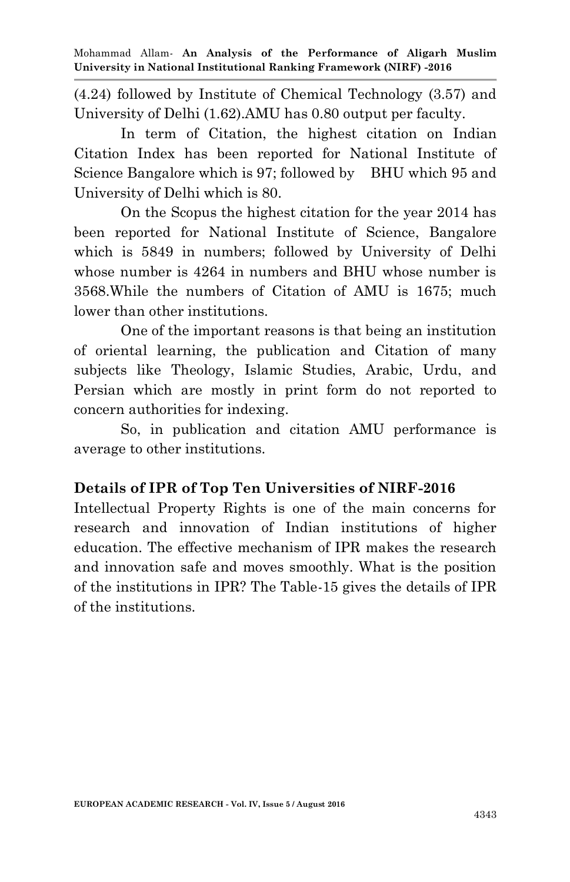(4.24) followed by Institute of Chemical Technology (3.57) and University of Delhi (1.62).AMU has 0.80 output per faculty.

In term of Citation, the highest citation on Indian Citation Index has been reported for National Institute of Science Bangalore which is 97; followed by BHU which 95 and University of Delhi which is 80.

On the Scopus the highest citation for the year 2014 has been reported for National Institute of Science, Bangalore which is 5849 in numbers; followed by University of Delhi whose number is 4264 in numbers and BHU whose number is 3568.While the numbers of Citation of AMU is 1675; much lower than other institutions.

One of the important reasons is that being an institution of oriental learning, the publication and Citation of many subjects like Theology, Islamic Studies, Arabic, Urdu, and Persian which are mostly in print form do not reported to concern authorities for indexing.

So, in publication and citation AMU performance is average to other institutions.

### **Details of IPR of Top Ten Universities of NIRF-2016**

Intellectual Property Rights is one of the main concerns for research and innovation of Indian institutions of higher education. The effective mechanism of IPR makes the research and innovation safe and moves smoothly. What is the position of the institutions in IPR? The Table-15 gives the details of IPR of the institutions.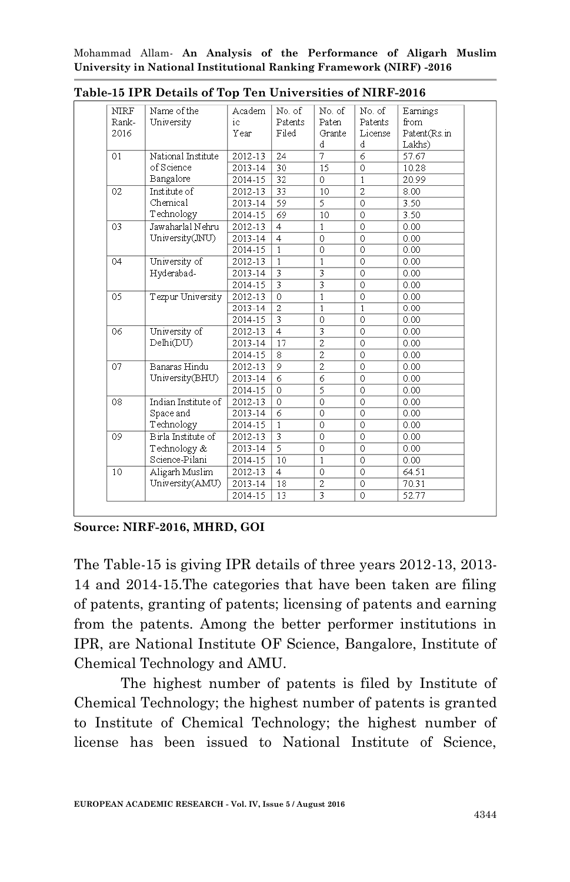| <b>NIRF</b> | Name of the         | Academ      | No. of         | No. of         | No. of         | Earnings     |
|-------------|---------------------|-------------|----------------|----------------|----------------|--------------|
| Rank-       | University          | ic          | Patents        | Paten          | Patents        | from         |
| 2016        |                     | Year        | Filed          | Grante         | License        | Patent(Rs.in |
|             |                     |             |                | d              | d              | Lakhs)       |
| 01          | National Institute  | 2012-13     | 24             | 7              | 6              | 57.67        |
|             | of Science          | 2013-14     | 30             | 15             | $\circ$        | 10.28        |
|             | Bangalore           | 2014-15     | 32             | 0              | $\mathbf{1}$   | 20.99        |
| 02          | Institute of        | 2012-13     | 33             | 10             | $\overline{2}$ | 8.00         |
|             | Chemical            | 2013-14     | 59             | 5              | 0              | 3.50         |
|             | Technology          | 2014-15     | 69             | 10             | 0              | 3.50         |
| 03          | Jawaharlal Nehru    | 2012-13     | $\overline{4}$ | $\mathbf{1}$   | $\Omega$       | 0.00         |
|             | University(JNU)     | 2013-14     | $\overline{4}$ | 0              | 0              | 0.00         |
|             |                     | 2014-15     | $\mathbf{1}$   | $\overline{0}$ | $\overline{0}$ | 0.00         |
| 04          | University of       | 2012-13     | $\mathbf{1}$   | $\mathbf{1}$   | $\overline{0}$ | 0.00         |
|             | Hyderabad-          | 2013-14     |                |                | $\overline{0}$ | 0.00         |
|             |                     | 2014-15     |                |                | $\circ$        | 0.00         |
| 05          | Tezpur University   | 2012-13     | $\overline{0}$ | $\overline{1}$ | 0              | 0.00         |
|             |                     | 2013-14     | $\overline{2}$ | $\mathbf{1}$   | $\mathbf{1}$   | 0.00         |
|             |                     | 2014-15     | 3              | 0              | 0              | 0.00         |
| 06          | University of       | 2012-13     | $\overline{4}$ | 3              | $\Omega$       | 0.00         |
|             | Delhi(DU)           | 2013-14     | 17             | $\overline{c}$ | $\Omega$       | 0.00         |
|             |                     | 2014-15     | 8              | $\overline{c}$ | $\circ$        | 0.00         |
| 07          | Banaras Hindu       | 2012-13     | 9              | $\overline{c}$ | $\circ$        | 0.00         |
|             | University(BHU)     | 2013-14     | 6              | 6              | $\mathbf 0$    | 0.00         |
|             |                     | 2014-15     | 0              | 5              | 0              | 0.00         |
| 08          | Indian Institute of | 2012-13     | 0              | 0              | 0              | 0.00         |
|             | Space and           | 2013-14     | 6              | 0              | 0              | 0.00         |
|             | Technology          | $2014 - 15$ | $\overline{1}$ | $\overline{0}$ | $\overline{0}$ | 0.00         |
| 09          | Birla Institute of  | 2012-13     |                | 0              | $\Omega$       | 0.00         |
|             | Technology &        | 2013-14     | 5              | 0              | $\Omega$       | 0.00         |
|             | Science-Pilani      | 2014-15     | 10             | 1              | $\Omega$       | 0.00         |
| 10          | Aligarh Muslim      | 2012-13     | $\overline{4}$ | 0              | $\circ$        | 64.51        |
|             | University(AMU)     | 2013-14     | 18             | $\overline{c}$ | 0              | 70.31        |
|             |                     | 2014-15     | 13             | 3              | $\Omega$       | 52.77        |

**Table-15 IPR Details of Top Ten Universities of NIRF-2016**

**Source: NIRF-2016, MHRD, GOI**

The Table-15 is giving IPR details of three years 2012-13, 2013- 14 and 2014-15.The categories that have been taken are filing of patents, granting of patents; licensing of patents and earning from the patents. Among the better performer institutions in IPR, are National Institute OF Science, Bangalore, Institute of Chemical Technology and AMU.

The highest number of patents is filed by Institute of Chemical Technology; the highest number of patents is granted to Institute of Chemical Technology; the highest number of license has been issued to National Institute of Science,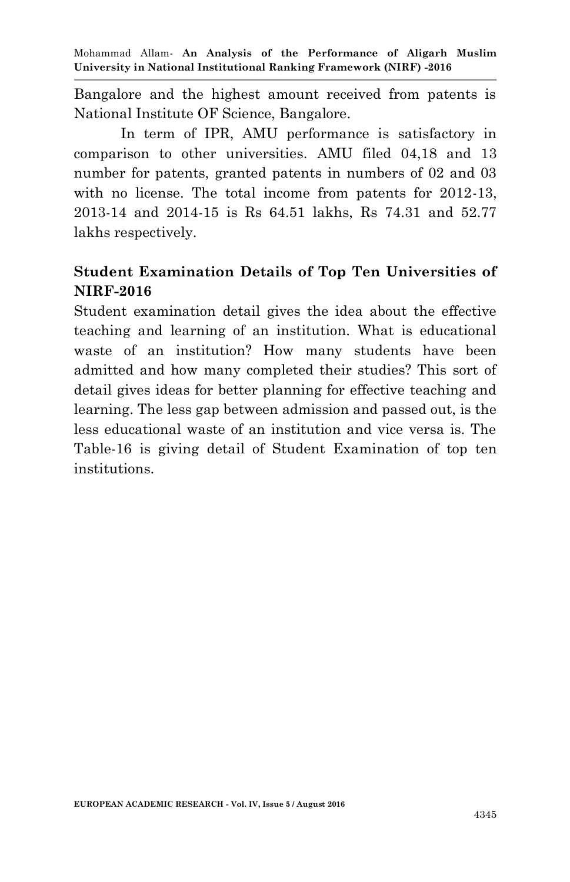Bangalore and the highest amount received from patents is National Institute OF Science, Bangalore.

In term of IPR, AMU performance is satisfactory in comparison to other universities. AMU filed 04,18 and 13 number for patents, granted patents in numbers of 02 and 03 with no license. The total income from patents for 2012-13, 2013-14 and 2014-15 is Rs 64.51 lakhs, Rs 74.31 and 52.77 lakhs respectively.

## **Student Examination Details of Top Ten Universities of NIRF-2016**

Student examination detail gives the idea about the effective teaching and learning of an institution. What is educational waste of an institution? How many students have been admitted and how many completed their studies? This sort of detail gives ideas for better planning for effective teaching and learning. The less gap between admission and passed out, is the less educational waste of an institution and vice versa is. The Table-16 is giving detail of Student Examination of top ten institutions.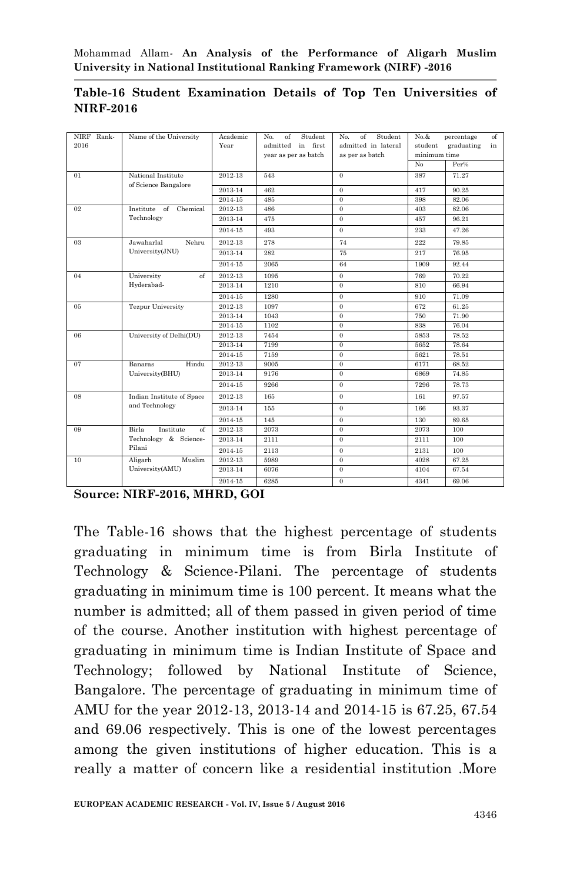| NIRF Rank-<br>2016 | Name of the University                     | Academic<br>Year | Student<br>No.<br>of<br>admitted<br>in first | of<br>Student<br>No.<br>admitted in lateral | $No.\&$<br>student | of<br>percentage<br>graduating<br>in |
|--------------------|--------------------------------------------|------------------|----------------------------------------------|---------------------------------------------|--------------------|--------------------------------------|
|                    |                                            |                  | year as per as batch                         | as per as batch                             | minimum time<br>No | Per%                                 |
|                    |                                            |                  |                                              | $\Omega$                                    |                    |                                      |
| 01                 | National Institute<br>of Science Bangalore | 2012-13          | 543                                          |                                             | 387                | 71.27                                |
|                    |                                            | 2013-14          | 462                                          | $\Omega$                                    | 417                | 90.25                                |
|                    |                                            | 2014-15          | 485                                          | $\Omega$                                    | 398                | 82.06                                |
| 02                 | Institute of<br>Chemical                   | 2012-13          | 486                                          | $\Omega$                                    | 403                | 82.06                                |
|                    | Technology                                 | 2013-14          | 475                                          | $\overline{0}$                              | 457                | 96.21                                |
|                    |                                            | 2014-15          | 493                                          | $\Omega$                                    | 233                | 47.26                                |
| 03                 | Jawaharlal<br>Nehru                        | 2012-13          | 278                                          | 74                                          | 222                | 79.85                                |
|                    | University(JNU)                            | 2013-14          | 282                                          | 75                                          | 217                | 76.95                                |
|                    |                                            | 2014-15          | 2065                                         | 64                                          | 1909               | 92.44                                |
| 04                 | University<br>$\sigma$                     | 2012-13          | 1095                                         | $\Omega$                                    | 769                | 70.22                                |
|                    | Hyderabad-                                 | 2013-14          | 1210                                         | $\Omega$                                    | 810                | 66.94                                |
|                    |                                            | 2014-15          | 1280                                         | $\Omega$                                    | 910                | 71.09                                |
| 05                 | <b>Tezpur University</b>                   | 2012-13          | 1097                                         | $\Omega$                                    | 672                | 61.25                                |
|                    |                                            | 2013-14          | 1043                                         | $\Omega$                                    | 750                | 71.90                                |
|                    |                                            | 2014-15          | 1102                                         | $\Omega$                                    | 838                | 76.04                                |
| 06                 | University of Delhi(DU)                    | 2012-13          | 7454                                         | $\Omega$                                    | 5853               | 78.52                                |
|                    |                                            | 2013-14          | 7199                                         | $\Omega$                                    | 5652               | 78.64                                |
|                    |                                            | 2014-15          | 7159                                         | $\Omega$                                    | 5621               | 78.51                                |
| 07                 | Hindu<br>Banaras                           | 2012-13          | 9005                                         | $\Omega$                                    | 6171               | 68.52                                |
|                    | University(BHU)                            | 2013-14          | 9176                                         | $\Omega$                                    | 6869               | 74.85                                |
|                    |                                            | 2014-15          | 9266                                         | $\Omega$                                    | 7296               | 78.73                                |
| 08                 | Indian Institute of Space                  | 2012-13          | 165                                          | $\Omega$                                    | 161                | 97.57                                |
|                    | and Technology                             | 2013-14          | 155                                          | $\Omega$                                    | 166                | 93.37                                |
|                    |                                            | 2014-15          | 145                                          | $\overline{0}$                              | 130                | 89.65                                |
| 09                 | Birla<br>Institute<br>$\sigma$             | 2012-13          | 2073                                         | $\Omega$                                    | 2073               | 100                                  |
|                    | Technology & Science-                      | 2013-14          | 2111                                         | $\Omega$                                    | 2111               | 100                                  |
|                    | Pilani                                     | 2014-15          | 2113                                         | $\mathbf{0}$                                | 2131               | 100                                  |
| 10                 | Aligarh<br>Muslim                          | 2012-13          | 5989                                         | $\mathbf{0}$                                | 4028               | 67.25                                |
|                    | University(AMU)                            | 2013-14          | 6076                                         | $\Omega$                                    | 4104               | 67.54                                |
|                    |                                            | 2014-15          | 6285                                         | $\Omega$                                    | 4341               | 69.06                                |

#### **Table-16 Student Examination Details of Top Ten Universities of NIRF-2016**

**Source: NIRF-2016, MHRD, GOI**

The Table-16 shows that the highest percentage of students graduating in minimum time is from Birla Institute of Technology & Science-Pilani. The percentage of students graduating in minimum time is 100 percent. It means what the number is admitted; all of them passed in given period of time of the course. Another institution with highest percentage of graduating in minimum time is Indian Institute of Space and Technology; followed by National Institute of Science, Bangalore. The percentage of graduating in minimum time of AMU for the year 2012-13, 2013-14 and 2014-15 is 67.25, 67.54 and 69.06 respectively. This is one of the lowest percentages among the given institutions of higher education. This is a really a matter of concern like a residential institution .More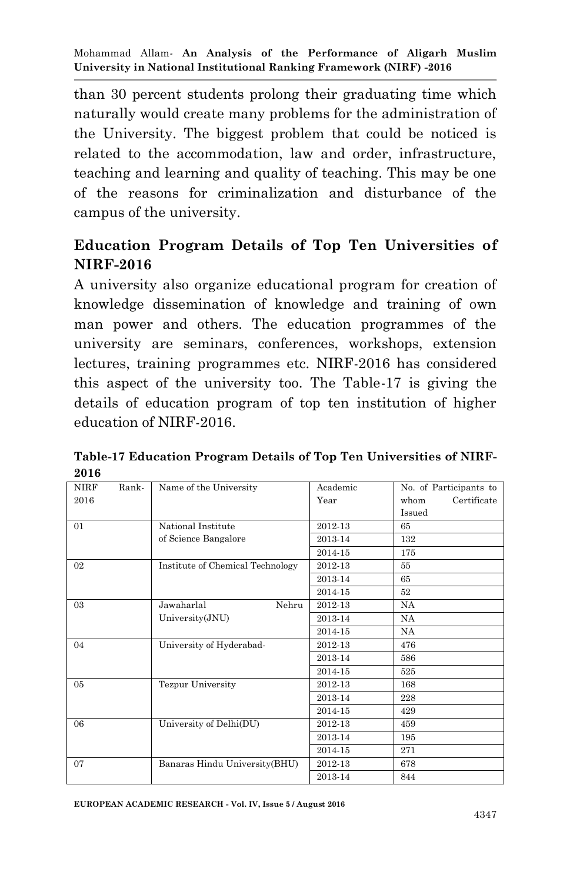than 30 percent students prolong their graduating time which naturally would create many problems for the administration of the University. The biggest problem that could be noticed is related to the accommodation, law and order, infrastructure, teaching and learning and quality of teaching. This may be one of the reasons for criminalization and disturbance of the campus of the university.

# **Education Program Details of Top Ten Universities of NIRF-2016**

A university also organize educational program for creation of knowledge dissemination of knowledge and training of own man power and others. The education programmes of the university are seminars, conferences, workshops, extension lectures, training programmes etc. NIRF-2016 has considered this aspect of the university too. The Table-17 is giving the details of education program of top ten institution of higher education of NIRF-2016.

| <b>NIRF</b>    | Rank- | Name of the University           | Academic | No. of Participants to |
|----------------|-------|----------------------------------|----------|------------------------|
| 2016           |       |                                  | Year     | Certificate<br>whom    |
|                |       |                                  |          | Issued                 |
| 01             |       | National Institute               | 2012-13  | 65                     |
|                |       | of Science Bangalore             | 2013-14  | 132                    |
|                |       |                                  | 2014-15  | 175                    |
| 0 <sup>2</sup> |       | Institute of Chemical Technology | 2012-13  | 55                     |
|                |       |                                  | 2013-14  | 65                     |
|                |       |                                  | 2014-15  | 52                     |
| 03             |       | Jawaharlal<br>Nehru              | 2012-13  | NA                     |
|                |       | University(JNU)                  | 2013-14  | <b>NA</b>              |
|                |       |                                  | 2014-15  | NA                     |
| 04             |       | University of Hyderabad-         | 2012-13  | 476                    |
|                |       |                                  | 2013-14  | 586                    |
|                |       |                                  | 2014-15  | 525                    |
| 0 <sub>5</sub> |       | <b>Tezpur University</b>         | 2012-13  | 168                    |
|                |       |                                  | 2013-14  | 228                    |
|                |       |                                  | 2014-15  | 429                    |
| 06             |       | University of Delhi(DU)          | 2012-13  | 459                    |
|                |       |                                  | 2013-14  | 195                    |
|                |       |                                  | 2014-15  | 271                    |
| 07             |       | Banaras Hindu University(BHU)    | 2012-13  | 678                    |
|                |       |                                  | 2013-14  | 844                    |

**Table-17 Education Program Details of Top Ten Universities of NIRF-2016**

**EUROPEAN ACADEMIC RESEARCH - Vol. IV, Issue 5 / August 2016**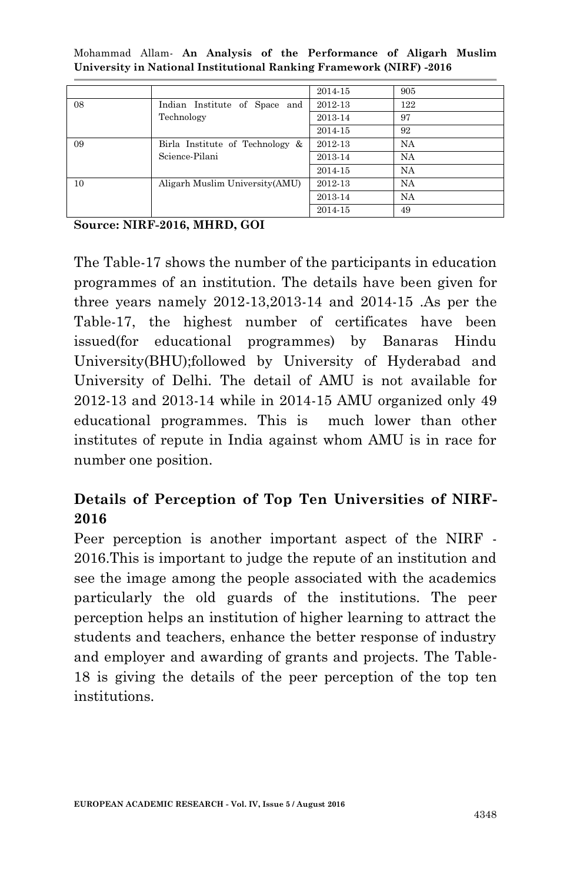|    |                                 | 2014-15 | 905 |
|----|---------------------------------|---------|-----|
| 08 | Indian Institute of Space and   | 2012-13 | 122 |
|    | Technology                      | 2013-14 | 97  |
|    |                                 | 2014-15 | 92  |
| 09 | Birla Institute of Technology & | 2012-13 | NA  |
|    | Science-Pilani                  | 2013-14 | NA  |
|    |                                 | 2014-15 | NA  |
| 10 | Aligarh Muslim University (AMU) | 2012-13 | NA  |
|    |                                 | 2013-14 | NA  |
|    |                                 | 2014-15 | 49  |

Mohammad Allam*-* **An Analysis of the Performance of Aligarh Muslim University in National Institutional Ranking Framework (NIRF) -2016**

The Table-17 shows the number of the participants in education programmes of an institution. The details have been given for three years namely 2012-13,2013-14 and 2014-15 .As per the Table-17, the highest number of certificates have been issued(for educational programmes) by Banaras Hindu University(BHU);followed by University of Hyderabad and University of Delhi. The detail of AMU is not available for 2012-13 and 2013-14 while in 2014-15 AMU organized only 49 educational programmes. This is much lower than other institutes of repute in India against whom AMU is in race for number one position.

## **Details of Perception of Top Ten Universities of NIRF-2016**

Peer perception is another important aspect of the NIRF - 2016.This is important to judge the repute of an institution and see the image among the people associated with the academics particularly the old guards of the institutions. The peer perception helps an institution of higher learning to attract the students and teachers, enhance the better response of industry and employer and awarding of grants and projects. The Table-18 is giving the details of the peer perception of the top ten institutions.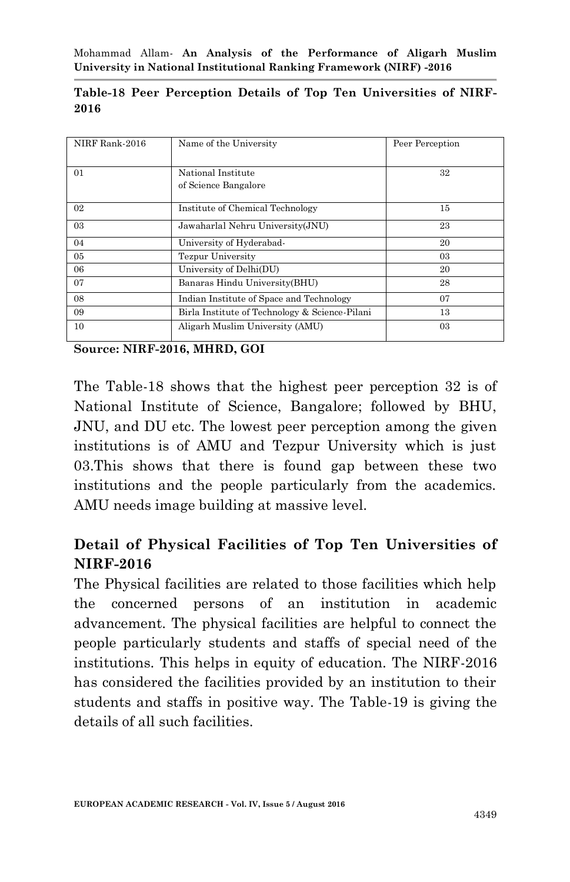|      |  |  |  | Table-18 Peer Perception Details of Top Ten Universities of NIRF- |  |
|------|--|--|--|-------------------------------------------------------------------|--|
| 2016 |  |  |  |                                                                   |  |

| NIRF Rank-2016 | Name of the University                         | Peer Perception |
|----------------|------------------------------------------------|-----------------|
| 01             | National Institute<br>of Science Bangalore     | 32              |
| 02             | Institute of Chemical Technology               | 15              |
| 03             | Jawaharlal Nehru University(JNU)               | 23              |
| 04             | University of Hyderabad-                       | 20              |
| 05             | <b>Tezpur University</b>                       | 03              |
| 06             | University of Delhi(DU)                        | 20              |
| 07             | Banaras Hindu University (BHU)                 | 28              |
| 08             | Indian Institute of Space and Technology       | 07              |
| 09             | Birla Institute of Technology & Science-Pilani | 13              |
| 10             | Aligarh Muslim University (AMU)                | 03              |

The Table-18 shows that the highest peer perception 32 is of National Institute of Science, Bangalore; followed by BHU, JNU, and DU etc. The lowest peer perception among the given institutions is of AMU and Tezpur University which is just 03.This shows that there is found gap between these two institutions and the people particularly from the academics. AMU needs image building at massive level.

# **Detail of Physical Facilities of Top Ten Universities of NIRF-2016**

The Physical facilities are related to those facilities which help the concerned persons of an institution in academic advancement. The physical facilities are helpful to connect the people particularly students and staffs of special need of the institutions. This helps in equity of education. The NIRF-2016 has considered the facilities provided by an institution to their students and staffs in positive way. The Table-19 is giving the details of all such facilities.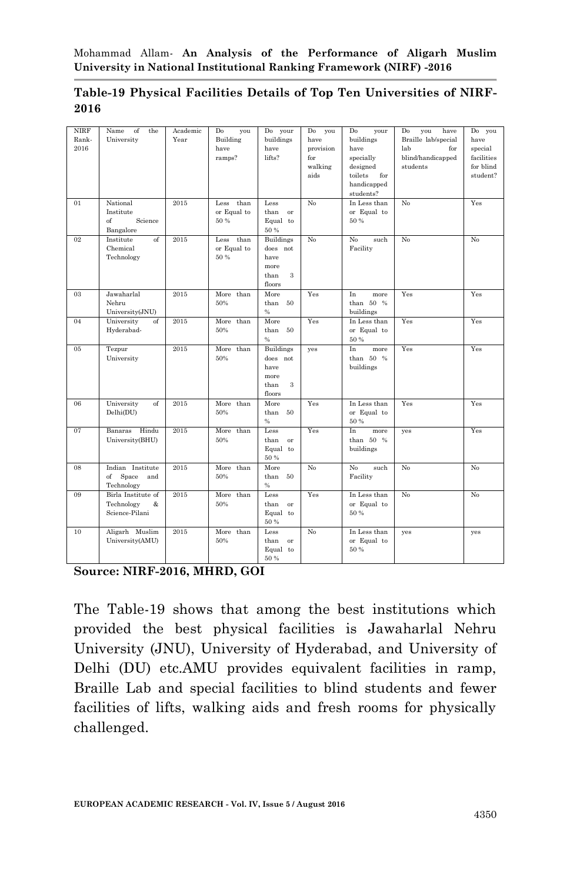| Table-19 Physical Facilities Details of Top Ten Universities of NIRF- |  |  |  |
|-----------------------------------------------------------------------|--|--|--|
| 2016                                                                  |  |  |  |

| <b>NIRF</b><br>Rank-<br>2016 | Name<br>of<br>the<br>University                            | Academic<br>Year | Do<br>you<br>Building<br>have<br>ramps? | Do your<br>buildings<br>have<br>lifts?                              | Do<br>you<br>have<br>provision<br>for<br>walking<br>aids | Do<br>your<br>buildings<br>have<br>specially<br>designed<br>toilets<br>for<br>handicapped<br>students? | Do<br>have<br>you<br>Braille lab/special<br>for<br>lab<br>blind/handicapped<br>students | Do you<br>have<br>special<br>facilities<br>for blind<br>student? |
|------------------------------|------------------------------------------------------------|------------------|-----------------------------------------|---------------------------------------------------------------------|----------------------------------------------------------|--------------------------------------------------------------------------------------------------------|-----------------------------------------------------------------------------------------|------------------------------------------------------------------|
| 01                           | National<br>Institute<br>$\sigma$<br>Science<br>Bangalore  | 2015             | than<br>Less<br>or Equal to<br>50 %     | Less<br>than or<br>Equal to<br>50 %                                 | No                                                       | In Less than<br>or Equal to<br>50 %                                                                    | No                                                                                      | Yes                                                              |
| 02                           | Institute<br>$\sigma$<br>Chemical<br>Technology            | 2015             | Less<br>than<br>or Equal to<br>50 %     | <b>Buildings</b><br>does not<br>have<br>more<br>than<br>3<br>floors | No                                                       | N <sub>o</sub><br>such<br>Facility                                                                     | No                                                                                      | N <sub>o</sub>                                                   |
| 03                           | Jawaharlal<br>Nehru<br>University(JNU)                     | 2015             | More than<br>50%                        | More<br>than 50<br>%                                                | Yes                                                      | In<br>more<br>than 50 %<br>buildings                                                                   | Yes                                                                                     | Yes                                                              |
| 04                           | University<br>of<br>Hyderabad-                             | 2015             | More than<br>50%                        | More<br>than 50<br>$\%$                                             | Yes                                                      | In Less than<br>or Equal to<br>50 %                                                                    | Yes                                                                                     | Yes                                                              |
| $05\,$                       | Tezpur<br>University                                       | 2015             | More than<br>50%                        | Buildings<br>does not<br>have<br>more<br>than<br>3<br>floors        | yes                                                      | In<br>more<br>than 50 %<br>buildings                                                                   | Yes                                                                                     | Yes                                                              |
| 06                           | University<br>of<br>Delhi(DU)                              | 2015             | More than<br>50%                        | More<br>than 50<br>$\%$                                             | Yes                                                      | In Less than<br>or Equal to<br>50 %                                                                    | Yes                                                                                     | Yes                                                              |
| 07                           | Banaras Hindu<br>University(BHU)                           | 2015             | More than<br>50%                        | Less<br>than<br>or<br>Equal to<br>50 %                              | Yes                                                      | In<br>more<br>than 50 %<br>buildings                                                                   | yes                                                                                     | Yes                                                              |
| 08                           | Indian Institute<br>$\sigma$<br>Space<br>and<br>Technology | 2015             | More than<br>50%                        | More<br>than 50<br>%                                                | No                                                       | No<br>such<br>Facility                                                                                 | No                                                                                      | N <sub>o</sub>                                                   |
| 09                           | Birla Institute of<br>Technology<br>&<br>Science-Pilani    | 2015             | More than<br>50%                        | Less<br>than or<br>Equal to<br>50 %                                 | Yes                                                      | In Less than<br>or Equal to<br>50 %                                                                    | No                                                                                      | No                                                               |
| 10                           | Aligarh Muslim<br>University(AMU)                          | 2015             | More than<br>50%                        | Less<br>than<br>or<br>Equal to<br>50 %                              | N <sub>o</sub>                                           | In Less than<br>or Equal to<br>50 %                                                                    | yes                                                                                     | yes                                                              |

The Table-19 shows that among the best institutions which provided the best physical facilities is Jawaharlal Nehru University (JNU), University of Hyderabad, and University of Delhi (DU) etc.AMU provides equivalent facilities in ramp, Braille Lab and special facilities to blind students and fewer facilities of lifts, walking aids and fresh rooms for physically challenged.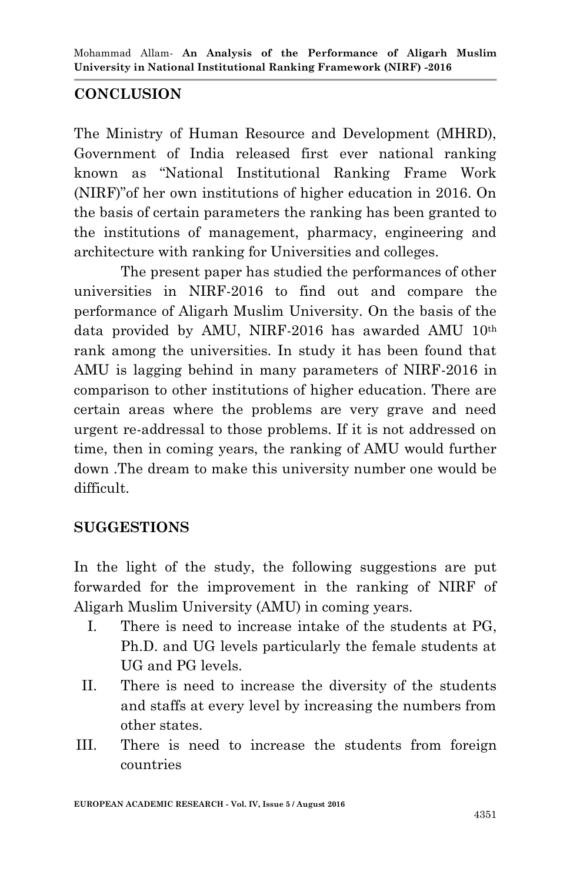## **CONCLUSION**

The Ministry of Human Resource and Development (MHRD), Government of India released first ever national ranking known as "National Institutional Ranking Frame Work (NIRF)"of her own institutions of higher education in 2016. On the basis of certain parameters the ranking has been granted to the institutions of management, pharmacy, engineering and architecture with ranking for Universities and colleges.

The present paper has studied the performances of other universities in NIRF-2016 to find out and compare the performance of Aligarh Muslim University. On the basis of the data provided by AMU, NIRF-2016 has awarded AMU 10th rank among the universities. In study it has been found that AMU is lagging behind in many parameters of NIRF-2016 in comparison to other institutions of higher education. There are certain areas where the problems are very grave and need urgent re-addressal to those problems. If it is not addressed on time, then in coming years, the ranking of AMU would further down .The dream to make this university number one would be difficult.

## **SUGGESTIONS**

In the light of the study, the following suggestions are put forwarded for the improvement in the ranking of NIRF of Aligarh Muslim University (AMU) in coming years.

- I. There is need to increase intake of the students at PG, Ph.D. and UG levels particularly the female students at UG and PG levels.
- II. There is need to increase the diversity of the students and staffs at every level by increasing the numbers from other states.
- III. There is need to increase the students from foreign countries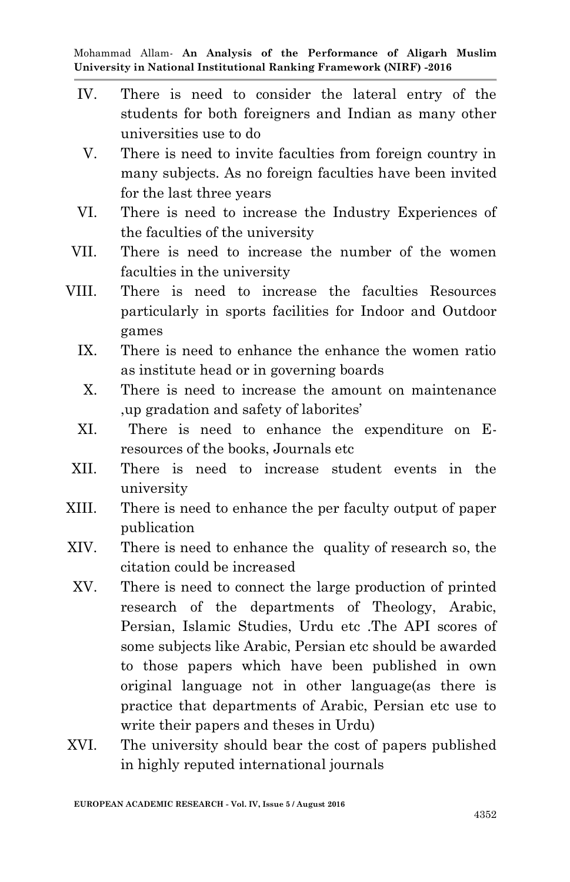- IV. There is need to consider the lateral entry of the students for both foreigners and Indian as many other universities use to do
- V. There is need to invite faculties from foreign country in many subjects. As no foreign faculties have been invited for the last three years
- VI. There is need to increase the Industry Experiences of the faculties of the university
- VII. There is need to increase the number of the women faculties in the university
- VIII. There is need to increase the faculties Resources particularly in sports facilities for Indoor and Outdoor games
	- IX. There is need to enhance the enhance the women ratio as institute head or in governing boards
	- X. There is need to increase the amount on maintenance ,up gradation and safety of laborites"
	- XI. There is need to enhance the expenditure on Eresources of the books, Journals etc
- XII. There is need to increase student events in the university
- XIII. There is need to enhance the per faculty output of paper publication
- XIV. There is need to enhance the quality of research so, the citation could be increased
	- XV. There is need to connect the large production of printed research of the departments of Theology, Arabic, Persian, Islamic Studies, Urdu etc .The API scores of some subjects like Arabic, Persian etc should be awarded to those papers which have been published in own original language not in other language(as there is practice that departments of Arabic, Persian etc use to write their papers and theses in Urdu)
- XVI. The university should bear the cost of papers published in highly reputed international journals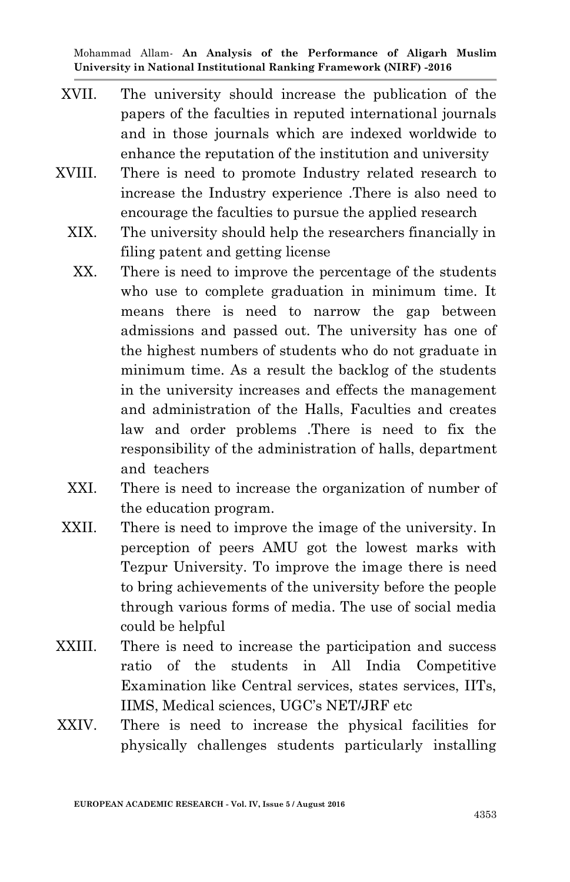- XVII. The university should increase the publication of the papers of the faculties in reputed international journals and in those journals which are indexed worldwide to enhance the reputation of the institution and university
- XVIII. There is need to promote Industry related research to increase the Industry experience .There is also need to encourage the faculties to pursue the applied research
	- XIX. The university should help the researchers financially in filing patent and getting license
		- XX. There is need to improve the percentage of the students who use to complete graduation in minimum time. It means there is need to narrow the gap between admissions and passed out. The university has one of the highest numbers of students who do not graduate in minimum time. As a result the backlog of the students in the university increases and effects the management and administration of the Halls, Faculties and creates law and order problems .There is need to fix the responsibility of the administration of halls, department and teachers
	- XXI. There is need to increase the organization of number of the education program.
	- XXII. There is need to improve the image of the university. In perception of peers AMU got the lowest marks with Tezpur University. To improve the image there is need to bring achievements of the university before the people through various forms of media. The use of social media could be helpful
- XXIII. There is need to increase the participation and success ratio of the students in All India Competitive Examination like Central services, states services, IITs, IIMS, Medical sciences, UGC"s NET/JRF etc
- XXIV. There is need to increase the physical facilities for physically challenges students particularly installing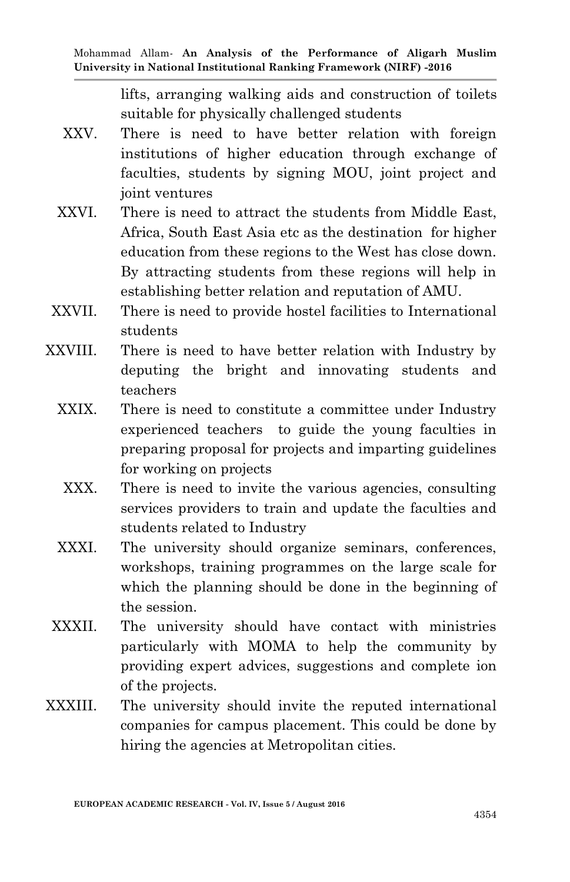lifts, arranging walking aids and construction of toilets suitable for physically challenged students

- XXV. There is need to have better relation with foreign institutions of higher education through exchange of faculties, students by signing MOU, joint project and joint ventures
- XXVI. There is need to attract the students from Middle East, Africa, South East Asia etc as the destination for higher education from these regions to the West has close down. By attracting students from these regions will help in establishing better relation and reputation of AMU.
- XXVII. There is need to provide hostel facilities to International students
- XXVIII. There is need to have better relation with Industry by deputing the bright and innovating students and teachers
	- XXIX. There is need to constitute a committee under Industry experienced teachers to guide the young faculties in preparing proposal for projects and imparting guidelines for working on projects
		- XXX. There is need to invite the various agencies, consulting services providers to train and update the faculties and students related to Industry
	- XXXI. The university should organize seminars, conferences, workshops, training programmes on the large scale for which the planning should be done in the beginning of the session.
- XXXII. The university should have contact with ministries particularly with MOMA to help the community by providing expert advices, suggestions and complete ion of the projects.
- XXXIII. The university should invite the reputed international companies for campus placement. This could be done by hiring the agencies at Metropolitan cities.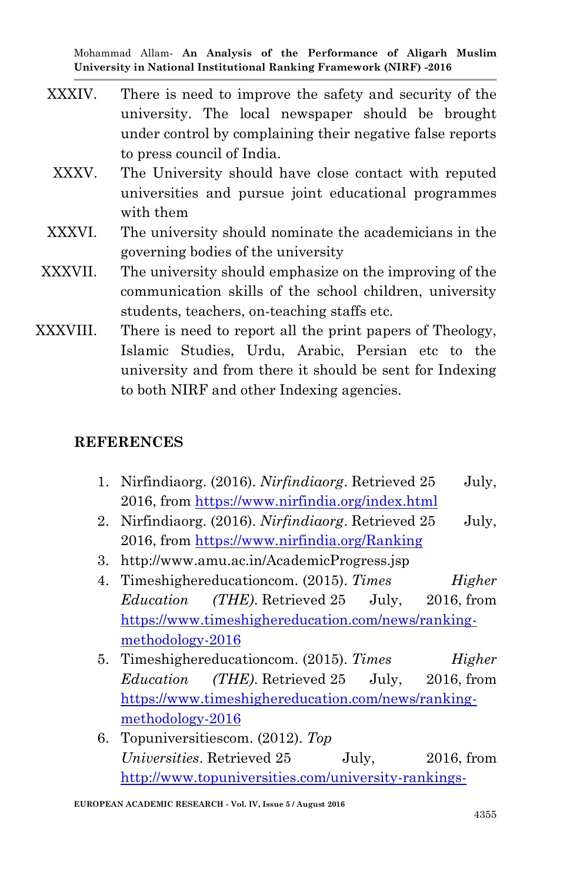- XXXIV. There is need to improve the safety and security of the university. The local newspaper should be brought under control by complaining their negative false reports to press council of India.
- XXXV. The University should have close contact with reputed universities and pursue joint educational programmes with them
- XXXVI. The university should nominate the academicians in the governing bodies of the university
- XXXVII. The university should emphasize on the improving of the communication skills of the school children, university students, teachers, on-teaching staffs etc.
- XXXVIII. There is need to report all the print papers of Theology, Islamic Studies, Urdu, Arabic, Persian etc to the university and from there it should be sent for Indexing to both NIRF and other Indexing agencies.

### **REFERENCES**

- 1. Nirfindiaorg. (2016). *Nirfindiaorg*. Retrieved 25 July, 2016, from<https://www.nirfindia.org/index.html>
- 2. Nirfindiaorg. (2016). *Nirfindiaorg*. Retrieved 25 July, 2016, from<https://www.nirfindia.org/Ranking>
- 3. http://www.amu.ac.in/AcademicProgress.jsp
- 4. Timeshighereducationcom. (2015). *Times Higher Education (THE)*. Retrieved 25 July, 2016, from [https://www.timeshighereducation.com/news/ranking](https://www.timeshighereducation.com/news/ranking-methodology-2016)[methodology-2016](https://www.timeshighereducation.com/news/ranking-methodology-2016)
- 5. Timeshighereducationcom. (2015). *Times Higher Education (THE)*. Retrieved 25 July, 2016, from [https://www.timeshighereducation.com/news/ranking](https://www.timeshighereducation.com/news/ranking-methodology-2016)[methodology-2016](https://www.timeshighereducation.com/news/ranking-methodology-2016)
- 6. Topuniversitiescom. (2012). *Top Universities*. Retrieved 25 July, 2016, from [http://www.topuniversities.com/university-rankings-](http://www.topuniversities.com/university-rankings-articles/world-university-rankings/qs-world-university-rankings-methodology)